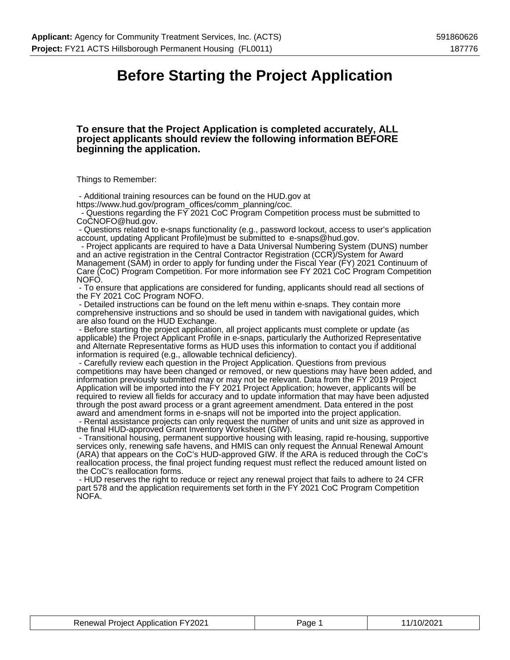## **Before Starting the Project Application**

#### **To ensure that the Project Application is completed accurately, ALL project applicants should review the following information BEFORE beginning the application.**

Things to Remember:

 - Additional training resources can be found on the HUD.gov at https://www.hud.gov/program\_offices/comm\_planning/coc.

 - Questions regarding the FY 2021 CoC Program Competition process must be submitted to CoCNOFO@hud.gov.

 - Questions related to e-snaps functionality (e.g., password lockout, access to user's application account, updating Applicant Profile)must be submitted to e-snaps@hud.gov.

 - Project applicants are required to have a Data Universal Numbering System (DUNS) number and an active registration in the Central Contractor Registration (CCR)/System for Award Management (SAM) in order to apply for funding under the Fiscal Year (FY) 2021 Continuum of Care (CoC) Program Competition. For more information see FY 2021 CoC Program Competition NOFO.

 - To ensure that applications are considered for funding, applicants should read all sections of the FY 2021 CoC Program NOFO.

 - Detailed instructions can be found on the left menu within e-snaps. They contain more comprehensive instructions and so should be used in tandem with navigational guides, which are also found on the HUD Exchange.

 - Before starting the project application, all project applicants must complete or update (as applicable) the Project Applicant Profile in e-snaps, particularly the Authorized Representative and Alternate Representative forms as HUD uses this information to contact you if additional information is required (e.g., allowable technical deficiency).

 - Carefully review each question in the Project Application. Questions from previous competitions may have been changed or removed, or new questions may have been added, and information previously submitted may or may not be relevant. Data from the FY 2019 Project Application will be imported into the FY 2021 Project Application; however, applicants will be required to review all fields for accuracy and to update information that may have been adjusted through the post award process or a grant agreement amendment. Data entered in the post award and amendment forms in e-snaps will not be imported into the project application.

 - Rental assistance projects can only request the number of units and unit size as approved in the final HUD-approved Grant Inventory Worksheet (GIW).

 - Transitional housing, permanent supportive housing with leasing, rapid re-housing, supportive services only, renewing safe havens, and HMIS can only request the Annual Renewal Amount (ARA) that appears on the CoC's HUD-approved GIW. If the ARA is reduced through the CoC's reallocation process, the final project funding request must reflect the reduced amount listed on the CoC's reallocation forms.

 - HUD reserves the right to reduce or reject any renewal project that fails to adhere to 24 CFR part 578 and the application requirements set forth in the FY 2021 CoC Program Competition NOFA.

| <b>Renewal Project Application FY2021</b> | Page 1 | 11/10/2021 |
|-------------------------------------------|--------|------------|
|-------------------------------------------|--------|------------|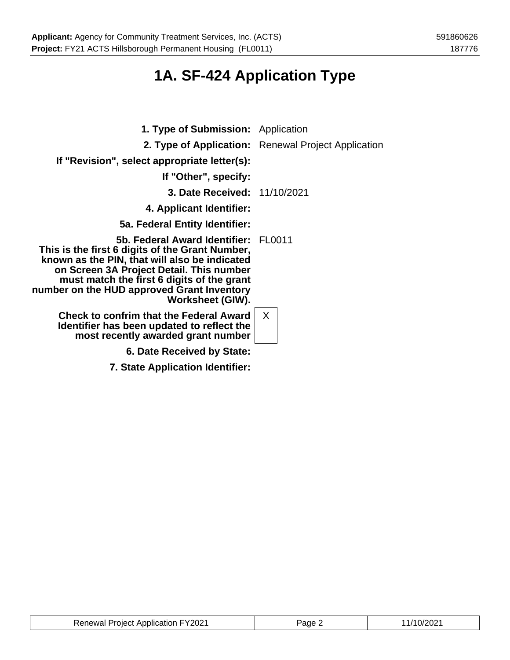# **1A. SF-424 Application Type**

| <b>1. Type of Submission:</b> Application                                                                                                                                                                                                                                                     |                                                     |
|-----------------------------------------------------------------------------------------------------------------------------------------------------------------------------------------------------------------------------------------------------------------------------------------------|-----------------------------------------------------|
|                                                                                                                                                                                                                                                                                               | 2. Type of Application: Renewal Project Application |
| If "Revision", select appropriate letter(s):                                                                                                                                                                                                                                                  |                                                     |
| If "Other", specify:                                                                                                                                                                                                                                                                          |                                                     |
| <b>3. Date Received: 11/10/2021</b>                                                                                                                                                                                                                                                           |                                                     |
| 4. Applicant Identifier:                                                                                                                                                                                                                                                                      |                                                     |
| 5a. Federal Entity Identifier:                                                                                                                                                                                                                                                                |                                                     |
| 5b. Federal Award Identifier:<br>This is the first 6 digits of the Grant Number,<br>known as the PIN, that will also be indicated<br>on Screen 3A Project Detail. This number<br>must match the first 6 digits of the grant<br>number on the HUD approved Grant Inventory<br>Worksheet (GIW). | <b>FL0011</b>                                       |
| <b>Check to confrim that the Federal Award</b><br>Identifier has been updated to reflect the<br>most recently awarded grant number                                                                                                                                                            | $\mathsf{X}$                                        |
| 6. Date Received by State:                                                                                                                                                                                                                                                                    |                                                     |
| 7. State Application Identifier:                                                                                                                                                                                                                                                              |                                                     |

| <b>Renewal Project Application FY2021</b> | Page 2 | 11/10/2021 |
|-------------------------------------------|--------|------------|
|-------------------------------------------|--------|------------|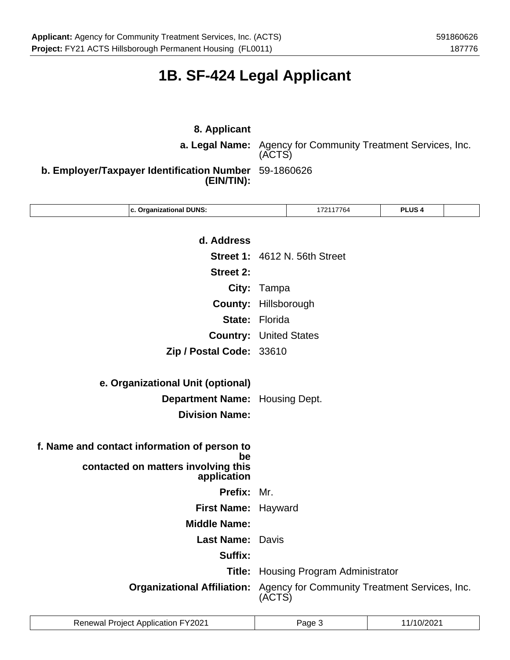## **1B. SF-424 Legal Applicant**

| 8. Applicant<br>b. Employer/Taxpayer Identification Number 59-1860626<br>(EIN/TIN): | (ACTS)                | a. Legal Name: Agency for Community Treatment Services, Inc. |                   |  |
|-------------------------------------------------------------------------------------|-----------------------|--------------------------------------------------------------|-------------------|--|
| c. Organizational DUNS:                                                             |                       | 172117764                                                    | PLUS <sub>4</sub> |  |
|                                                                                     |                       |                                                              |                   |  |
| d. Address                                                                          |                       |                                                              |                   |  |
|                                                                                     |                       | <b>Street 1: 4612 N. 56th Street</b>                         |                   |  |
| <b>Street 2:</b>                                                                    |                       |                                                              |                   |  |
|                                                                                     | City: Tampa           |                                                              |                   |  |
| <b>County:</b>                                                                      | Hillsborough          |                                                              |                   |  |
|                                                                                     | <b>State: Florida</b> |                                                              |                   |  |
| <b>Country: United States</b>                                                       |                       |                                                              |                   |  |
| Zip / Postal Code: 33610                                                            |                       |                                                              |                   |  |
| e. Organizational Unit (optional)                                                   |                       |                                                              |                   |  |
| <b>Department Name:</b> Housing Dept.                                               |                       |                                                              |                   |  |
| <b>Division Name:</b>                                                               |                       |                                                              |                   |  |
|                                                                                     |                       |                                                              |                   |  |
| f. Name and contact information of person to<br>be                                  |                       |                                                              |                   |  |
| contacted on matters involving this<br>application                                  |                       |                                                              |                   |  |
| Prefix: Mr.                                                                         |                       |                                                              |                   |  |
| <b>First Name:</b>                                                                  | Hayward               |                                                              |                   |  |
| <b>Middle Name:</b>                                                                 |                       |                                                              |                   |  |
| <b>Last Name:</b>                                                                   | Davis                 |                                                              |                   |  |
| Suffix:                                                                             |                       |                                                              |                   |  |
|                                                                                     |                       | Title: Housing Program Administrator                         |                   |  |

**Organizational Affiliation:** Agency for Community Treatment Services, Inc. (ACTS)

| <b>Renewal Project Application FY2021</b> | Page | /10/2021 |
|-------------------------------------------|------|----------|
|-------------------------------------------|------|----------|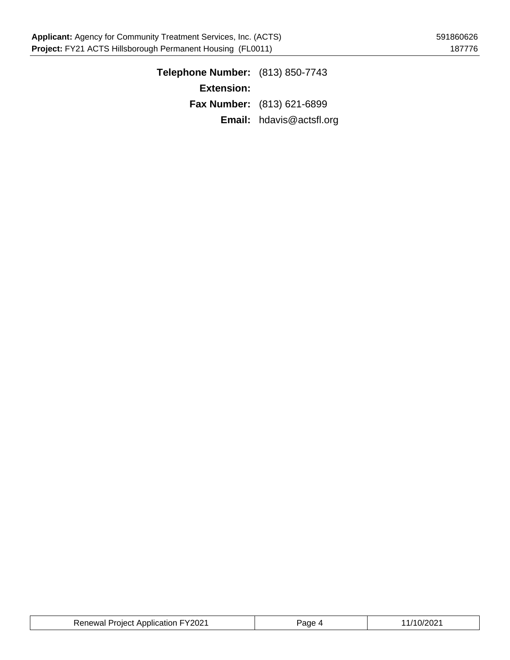| <b>Telephone Number:</b> (813) 850-7743 |                                   |
|-----------------------------------------|-----------------------------------|
| <b>Extension:</b>                       |                                   |
|                                         | <b>Fax Number:</b> (813) 621-6899 |
|                                         | <b>Email:</b> hdavis@actsfl.org   |

| <b>Renewal Project Application FY2021</b> | Page | 11/10/2021 |
|-------------------------------------------|------|------------|
|-------------------------------------------|------|------------|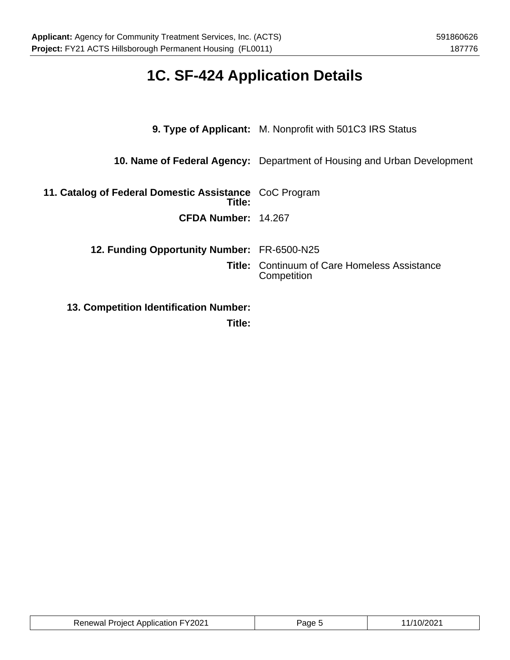# **1C. SF-424 Application Details**

|                                                                  | 9. Type of Applicant: M. Nonprofit with 501C3 IRS Status                |  |
|------------------------------------------------------------------|-------------------------------------------------------------------------|--|
|                                                                  | 10. Name of Federal Agency: Department of Housing and Urban Development |  |
| 11. Catalog of Federal Domestic Assistance CoC Program<br>Title: |                                                                         |  |
| CFDA Number: 14.267                                              |                                                                         |  |
| 12. Funding Opportunity Number: FR-6500-N25                      |                                                                         |  |
|                                                                  | <b>Title: Continuum of Care Homeless Assistance</b><br>Competition      |  |
| <b>13. Competition Identification Number:</b>                    |                                                                         |  |

**Title:**

| SY2021<br>Renewal Project Application F | ∍חה? | I I J/<br>____ |
|-----------------------------------------|------|----------------|
|                                         |      |                |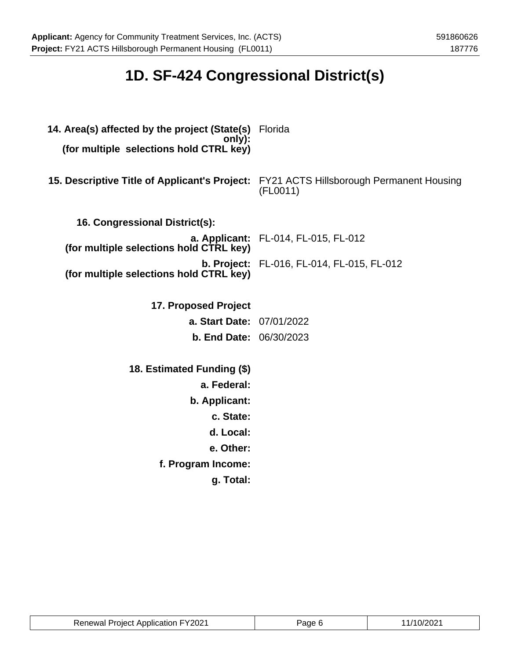# **1D. SF-424 Congressional District(s)**

| 14. Area(s) affected by the project (State(s) Florida |                                                                                                    |
|-------------------------------------------------------|----------------------------------------------------------------------------------------------------|
| only):<br>(for multiple selections hold CTRL key)     |                                                                                                    |
|                                                       |                                                                                                    |
|                                                       | 15. Descriptive Title of Applicant's Project: FY21 ACTS Hillsborough Permanent Housing<br>(FL0011) |
|                                                       |                                                                                                    |
| 16. Congressional District(s):                        |                                                                                                    |
| (for multiple selections hold CTRL key)               | a. Applicant: FL-014, FL-015, FL-012                                                               |
| (for multiple selections hold CTRL key)               | <b>b. Project:</b> FL-016, FL-014, FL-015, FL-012                                                  |
|                                                       |                                                                                                    |
| 17. Proposed Project                                  |                                                                                                    |
| a. Start Date: 07/01/2022                             |                                                                                                    |
| <b>b. End Date: 06/30/2023</b>                        |                                                                                                    |
|                                                       |                                                                                                    |
| 18. Estimated Funding (\$)<br>a. Federal:             |                                                                                                    |
| b. Applicant:                                         |                                                                                                    |
| c. State:                                             |                                                                                                    |
| d. Local:                                             |                                                                                                    |
| e. Other:                                             |                                                                                                    |
| f. Program Income:                                    |                                                                                                    |
| g. Total:                                             |                                                                                                    |
|                                                       |                                                                                                    |

| <b>Renewal Project Application FY2021</b> | Page 6 | 11/10/2021 |
|-------------------------------------------|--------|------------|
|-------------------------------------------|--------|------------|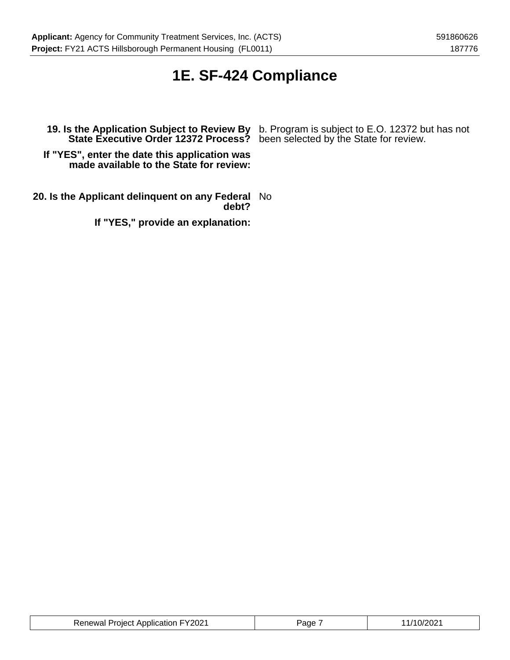## **1E. SF-424 Compliance**

**State Executive Order 12372 Process?** been selected by the State for review.

**19. Is the Application Subject to Review By** b. Program is subject to E.O. 12372 but has not

**If "YES", enter the date this application was made available to the State for review:**

**20. Is the Applicant delinquent on any Federal** No **debt?**

**If "YES," provide an explanation:**

| <b>Renewal Project Application FY2021</b> | aae | 10/2021 |
|-------------------------------------------|-----|---------|
|-------------------------------------------|-----|---------|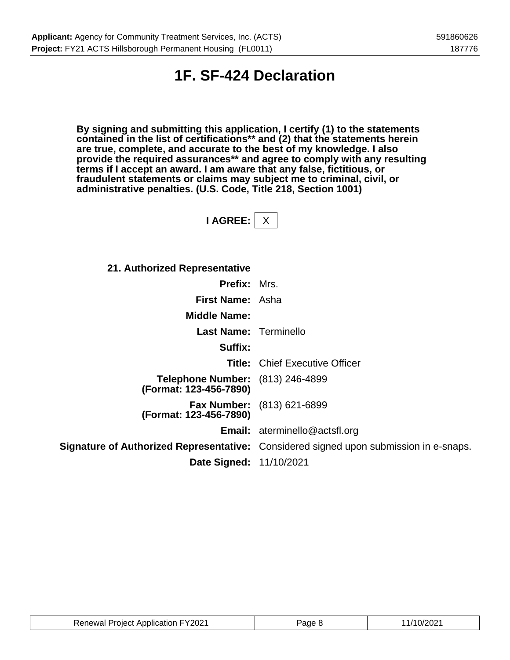## **1F. SF-424 Declaration**

**By signing and submitting this application, I certify (1) to the statements contained in the list of certifications\*\* and (2) that the statements herein are true, complete, and accurate to the best of my knowledge. I also provide the required assurances\*\* and agree to comply with any resulting terms if I accept an award. I am aware that any false, fictitious, or fraudulent statements or claims may subject me to criminal, civil, or administrative penalties. (U.S. Code, Title 218, Section 1001)**

**I AGREE:** X

**21. Authorized Representative**

| <b>Prefix: Mrs.</b>                                               |                                                                                              |
|-------------------------------------------------------------------|----------------------------------------------------------------------------------------------|
| First Name: Asha                                                  |                                                                                              |
| <b>Middle Name:</b>                                               |                                                                                              |
| <b>Last Name:</b> Terminello                                      |                                                                                              |
| Suffix:                                                           |                                                                                              |
|                                                                   | <b>Title:</b> Chief Executive Officer                                                        |
| <b>Telephone Number:</b> (813) 246-4899<br>(Format: 123-456-7890) |                                                                                              |
| (Format: 123-456-7890)                                            | <b>Fax Number:</b> (813) 621-6899                                                            |
|                                                                   | <b>Email:</b> aterminello@actsfl.org                                                         |
|                                                                   | <b>Signature of Authorized Representative:</b> Considered signed upon submission in e-snaps. |
| <b>Date Signed: 11/10/2021</b>                                    |                                                                                              |

| <b>Renewal Project Application FY2021</b> | Page 8 | 11/10/2021 |
|-------------------------------------------|--------|------------|
|-------------------------------------------|--------|------------|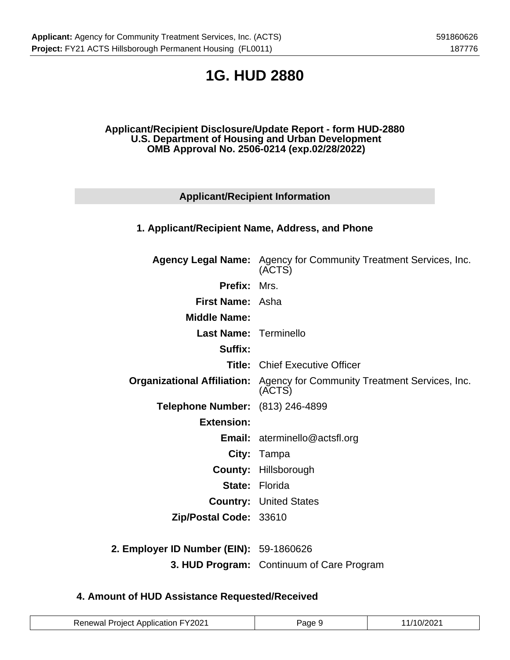## **1G. HUD 2880**

### **Applicant/Recipient Disclosure/Update Report - form HUD-2880 U.S. Department of Housing and Urban Development OMB Approval No. 2506-0214 (exp.02/28/2022)**

### **Applicant/Recipient Information**

### **1. Applicant/Recipient Name, Address, and Phone**

|                                         | Agency Legal Name: Agency for Community Treatment Services, Inc.<br>(ACTS)                 |
|-----------------------------------------|--------------------------------------------------------------------------------------------|
| <b>Prefix: Mrs.</b>                     |                                                                                            |
| First Name: Asha                        |                                                                                            |
| <b>Middle Name:</b>                     |                                                                                            |
| <b>Last Name: Terminello</b>            |                                                                                            |
| Suffix:                                 |                                                                                            |
|                                         | <b>Title: Chief Executive Officer</b>                                                      |
|                                         | <b>Organizational Affiliation:</b> Agency for Community Treatment Services, Inc.<br>(ACTS) |
| Telephone Number: (813) 246-4899        |                                                                                            |
| <b>Extension:</b>                       |                                                                                            |
|                                         | <b>Email:</b> aterminello@actsfl.org                                                       |
|                                         | City: Tampa                                                                                |
|                                         | <b>County: Hillsborough</b>                                                                |
|                                         | <b>State: Florida</b>                                                                      |
|                                         | <b>Country: United States</b>                                                              |
| Zip/Postal Code: 33610                  |                                                                                            |
|                                         |                                                                                            |
| 2. Employer ID Number (EIN): 59-1860626 |                                                                                            |
|                                         | 3. HUD Program: Continuum of Care Program                                                  |

### **4. Amount of HUD Assistance Requested/Received**

| Renewal Project Application FY2021 | Page . |  |
|------------------------------------|--------|--|
|------------------------------------|--------|--|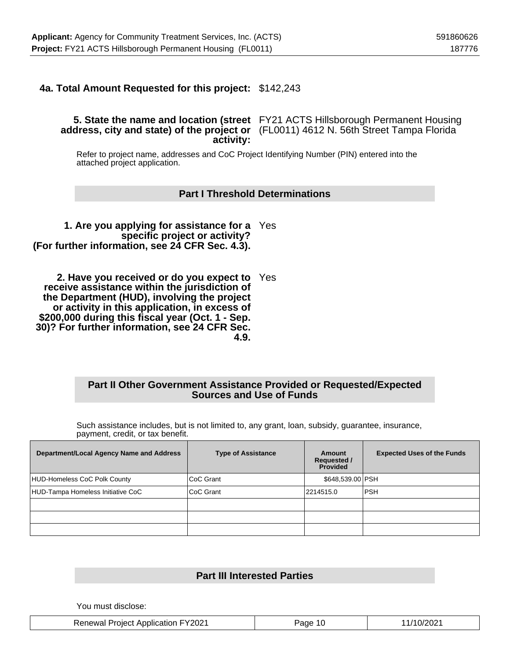### **4a. Total Amount Requested for this project:** \$142,243

## **address, city and state) of the project or** (FL0011) 4612 N. 56th Street Tampa Florida **activity:**

**5. State the name and location (street** FY21 ACTS Hillsborough Permanent Housing

Refer to project name, addresses and CoC Project Identifying Number (PIN) entered into the attached project application.

#### **Part I Threshold Determinations**

**1. Are you applying for assistance for a** Yes **specific project or activity? (For further information, see 24 CFR Sec. 4.3).**

**2. Have you received or do you expect to** Yes **receive assistance within the jurisdiction of the Department (HUD), involving the project or activity in this application, in excess of \$200,000 during this fiscal year (Oct. 1 - Sep. 30)? For further information, see 24 CFR Sec. 4.9.**

#### **Part II Other Government Assistance Provided or Requested/Expected Sources and Use of Funds**

Such assistance includes, but is not limited to, any grant, loan, subsidy, guarantee, insurance, payment, credit, or tax benefit.

| Department/Local Agency Name and Address | <b>Type of Assistance</b> | Amount<br><b>Requested /</b><br>Provided | <b>Expected Uses of the Funds</b> |
|------------------------------------------|---------------------------|------------------------------------------|-----------------------------------|
| <b>HUD-Homeless CoC Polk County</b>      | CoC Grant                 | \$648,539.00 PSH                         |                                   |
| HUD-Tampa Homeless Initiative CoC        | CoC Grant                 | 2214515.0                                | <b>PSH</b>                        |
|                                          |                           |                                          |                                   |
|                                          |                           |                                          |                                   |
|                                          |                           |                                          |                                   |

#### **Part III Interested Parties**

You must disclose:

| <b>Renewal Project Application FY2021</b> | -10<br>Page | 11/10/2021 |
|-------------------------------------------|-------------|------------|
|-------------------------------------------|-------------|------------|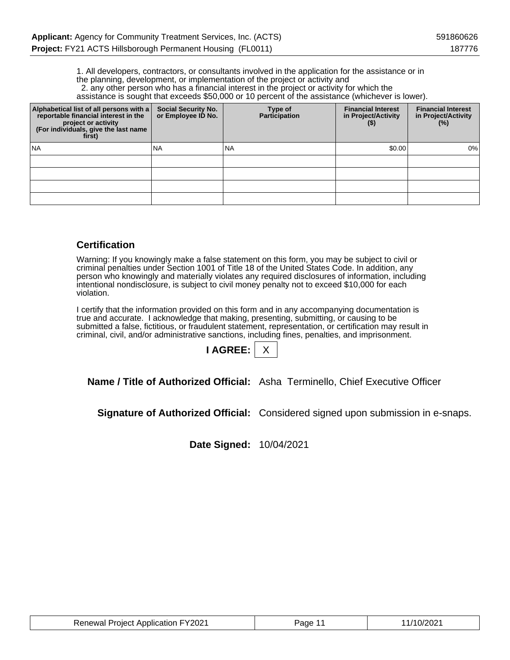1. All developers, contractors, or consultants involved in the application for the assistance or in the planning, development, or implementation of the project or activity and

2. any other person who has a financial interest in the project or activity for which the

assistance is sought that exceeds \$50,000 or 10 percent of the assistance (whichever is lower).

| Alphabetical list of all persons with a<br>reportable financial interest in the<br>project or activity<br>(For individuals, give the last name<br>first) | <b>Social Security No.</b><br>or Employee ID No. | Type of<br><b>Participation</b> | <b>Financial Interest</b><br>in Project/Activity<br>$($ \$) | <b>Financial Interest</b><br>in Project/Activity<br>(%) |
|----------------------------------------------------------------------------------------------------------------------------------------------------------|--------------------------------------------------|---------------------------------|-------------------------------------------------------------|---------------------------------------------------------|
| l NA                                                                                                                                                     | INA                                              | <b>NA</b>                       | \$0.00                                                      | 0%                                                      |
|                                                                                                                                                          |                                                  |                                 |                                                             |                                                         |
|                                                                                                                                                          |                                                  |                                 |                                                             |                                                         |
|                                                                                                                                                          |                                                  |                                 |                                                             |                                                         |
|                                                                                                                                                          |                                                  |                                 |                                                             |                                                         |

#### **Certification**

Warning: If you knowingly make a false statement on this form, you may be subject to civil or criminal penalties under Section 1001 of Title 18 of the United States Code. In addition, any person who knowingly and materially violates any required disclosures of information, including intentional nondisclosure, is subject to civil money penalty not to exceed \$10,000 for each violation.

I certify that the information provided on this form and in any accompanying documentation is true and accurate. I acknowledge that making, presenting, submitting, or causing to be submitted a false, fictitious, or fraudulent statement, representation, or certification may result in criminal, civil, and/or administrative sanctions, including fines, penalties, and imprisonment.



**Name / Title of Authorized Official:** Asha Terminello, Chief Executive Officer

**Signature of Authorized Official:** Considered signed upon submission in e-snaps.

**Date Signed:** 10/04/2021

| <b>Renewal Project Application FY2021</b> | Page 11 | 11/10/2021 |
|-------------------------------------------|---------|------------|
|-------------------------------------------|---------|------------|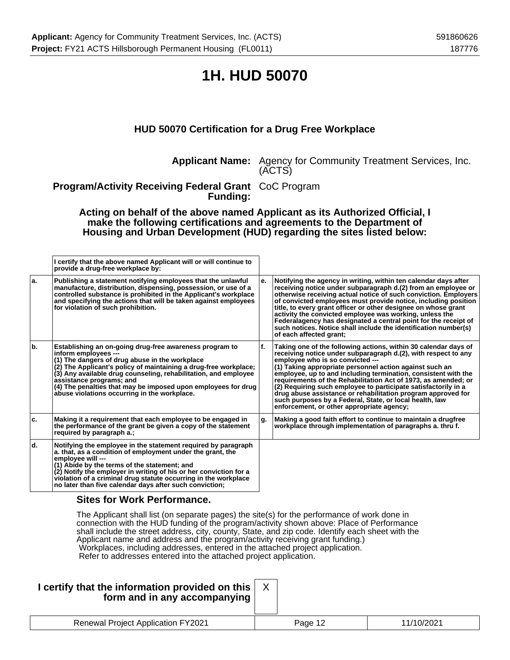## **1H. HUD 50070**

### **HUD 50070 Certification for a Drug Free Workplace**

**Applicant Name:** Agency for Community Treatment Services, Inc. (ACTS)

**Program/Activity Receiving Federal Grant** CoC Program **Funding:**

**Acting on behalf of the above named Applicant as its Authorized Official, I make the following certifications and agreements to the Department of Housing and Urban Development (HUD) regarding the sites listed below:**

|     | I certify that the above named Applicant will or will continue to<br>provide a drug-free workplace by:                                                                                                                                                                                                                                                                                                                |    |                                                                                                                                                                                                                                                                                                                                                                                                                                                                                                                                                                                                                |
|-----|-----------------------------------------------------------------------------------------------------------------------------------------------------------------------------------------------------------------------------------------------------------------------------------------------------------------------------------------------------------------------------------------------------------------------|----|----------------------------------------------------------------------------------------------------------------------------------------------------------------------------------------------------------------------------------------------------------------------------------------------------------------------------------------------------------------------------------------------------------------------------------------------------------------------------------------------------------------------------------------------------------------------------------------------------------------|
| la. | Publishing a statement notifying employees that the unlawful<br>manufacture, distribution, dispensing, possession, or use of a<br>controlled substance is prohibited in the Applicant's workplace<br>and specifying the actions that will be taken against employees<br>for violation of such prohibition.                                                                                                            | е. | Notifying the agency in writing, within ten calendar days after<br>receiving notice under subparagraph d.(2) from an employee or<br>otherwise receiving actual notice of such conviction. Employers<br>of convicted employees must provide notice, including position<br>title, to every grant officer or other designee on whose grant<br>activity the convicted employee was working, unless the<br>Federalagency has designated a central point for the receipt of<br>such notices. Notice shall include the identification number(s)<br>of each affected grant;                                            |
| lb. | Establishing an on-going drug-free awareness program to<br>inform employees ---<br>(1) The dangers of drug abuse in the workplace<br>(2) The Applicant's policy of maintaining a drug-free workplace;<br>(3) Any available drug counseling, rehabilitation, and employee<br>assistance programs; and<br>(4) The penalties that may be imposed upon employees for drug<br>abuse violations occurring in the workplace. | f. | Taking one of the following actions, within 30 calendar days of<br>receiving notice under subparagraph d.(2), with respect to any<br>employee who is so convicted ---<br>(1) Taking appropriate personnel action against such an<br>employee, up to and including termination, consistent with the<br>requirements of the Rehabilitation Act of 1973, as amended; or<br>(2) Requiring such employee to participate satisfactorily in a<br>drug abuse assistance or rehabilitation program approved for<br>such purposes by a Federal, State, or local health, law<br>enforcement, or other appropriate agency; |
| ∣c. | Making it a requirement that each employee to be engaged in<br>the performance of the grant be given a copy of the statement<br>required by paragraph a.;                                                                                                                                                                                                                                                             | g. | Making a good faith effort to continue to maintain a drugfree<br>workplace through implementation of paragraphs a. thru f.                                                                                                                                                                                                                                                                                                                                                                                                                                                                                     |
| ۱d. | Notifying the employee in the statement required by paragraph<br>a. that, as a condition of employment under the grant, the<br>employee will ---<br>(1) Abide by the terms of the statement; and<br>(2) Notify the employer in writing of his or her conviction for a<br>violation of a criminal drug statute occurring in the workplace<br>no later than five calendar days after such conviction;                   |    |                                                                                                                                                                                                                                                                                                                                                                                                                                                                                                                                                                                                                |

### **Sites for Work Performance.**

The Applicant shall list (on separate pages) the site(s) for the performance of work done in connection with the HUD funding of the program/activity shown above: Place of Performance shall include the street address, city, county, State, and zip code. Identify each sheet with the Applicant name and address and the program/activity receiving grant funding.) Workplaces, including addresses, entered in the attached project application. Refer to addresses entered into the attached project application.

| I certify that the information provided on this  <br>form and in any accompanying |         |            |
|-----------------------------------------------------------------------------------|---------|------------|
| <b>Renewal Project Application FY2021</b>                                         | Page 12 | 11/10/2021 |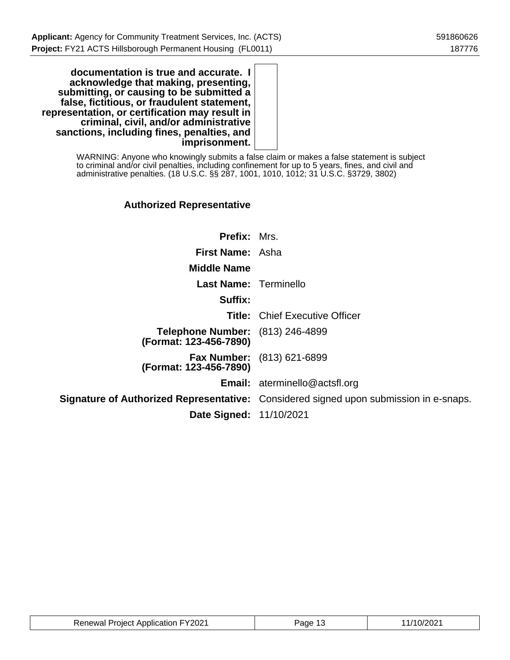**documentation is true and accurate. I acknowledge that making, presenting, submitting, or causing to be submitted a false, fictitious, or fraudulent statement, representation, or certification may result in criminal, civil, and/or administrative sanctions, including fines, penalties, and imprisonment.**

> WARNING: Anyone who knowingly submits a false claim or makes a false statement is subject to criminal and/or civil penalties, including confinement for up to 5 years, fines, and civil and administrative penalties. (18 U.S.C. §§ 287, 1001, 1010, 1012; 31 U.S.C. §3729, 3802)

### **Authorized Representative**

| <b>Prefix: Mrs.</b>                                               |                                                                                              |
|-------------------------------------------------------------------|----------------------------------------------------------------------------------------------|
| <b>First Name: Asha</b>                                           |                                                                                              |
| <b>Middle Name</b>                                                |                                                                                              |
| <b>Last Name: Terminello</b>                                      |                                                                                              |
| Suffix:                                                           |                                                                                              |
|                                                                   | <b>Title:</b> Chief Executive Officer                                                        |
| <b>Telephone Number:</b> (813) 246-4899<br>(Format: 123-456-7890) |                                                                                              |
| (Format: 123-456-7890)                                            | Fax Number: (813) 621-6899                                                                   |
|                                                                   | <b>Email:</b> aterminello@actsfl.org                                                         |
|                                                                   | <b>Signature of Authorized Representative:</b> Considered signed upon submission in e-snaps. |
| <b>Date Signed: 11/10/2021</b>                                    |                                                                                              |

| <b>Renewal Project Application FY2021</b> | Page 13 | 11/10/2021 |
|-------------------------------------------|---------|------------|
|-------------------------------------------|---------|------------|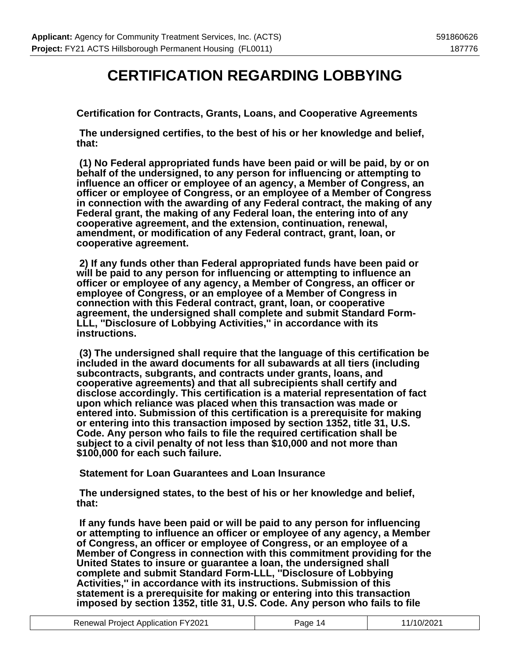## **CERTIFICATION REGARDING LOBBYING**

**Certification for Contracts, Grants, Loans, and Cooperative Agreements**

 **The undersigned certifies, to the best of his or her knowledge and belief, that:**

 **(1) No Federal appropriated funds have been paid or will be paid, by or on behalf of the undersigned, to any person for influencing or attempting to influence an officer or employee of an agency, a Member of Congress, an officer or employee of Congress, or an employee of a Member of Congress in connection with the awarding of any Federal contract, the making of any Federal grant, the making of any Federal loan, the entering into of any cooperative agreement, and the extension, continuation, renewal, amendment, or modification of any Federal contract, grant, loan, or cooperative agreement.**

 **2) If any funds other than Federal appropriated funds have been paid or will be paid to any person for influencing or attempting to influence an officer or employee of any agency, a Member of Congress, an officer or employee of Congress, or an employee of a Member of Congress in connection with this Federal contract, grant, loan, or cooperative agreement, the undersigned shall complete and submit Standard Form-LLL, ''Disclosure of Lobbying Activities,'' in accordance with its instructions.**

 **(3) The undersigned shall require that the language of this certification be included in the award documents for all subawards at all tiers (including subcontracts, subgrants, and contracts under grants, loans, and cooperative agreements) and that all subrecipients shall certify and disclose accordingly. This certification is a material representation of fact upon which reliance was placed when this transaction was made or entered into. Submission of this certification is a prerequisite for making or entering into this transaction imposed by section 1352, title 31, U.S. Code. Any person who fails to file the required certification shall be subject to a civil penalty of not less than \$10,000 and not more than \$100,000 for each such failure.**

 **Statement for Loan Guarantees and Loan Insurance**

 **The undersigned states, to the best of his or her knowledge and belief, that:**

 **If any funds have been paid or will be paid to any person for influencing or attempting to influence an officer or employee of any agency, a Member of Congress, an officer or employee of Congress, or an employee of a Member of Congress in connection with this commitment providing for the United States to insure or guarantee a loan, the undersigned shall complete and submit Standard Form-LLL, ''Disclosure of Lobbying Activities,'' in accordance with its instructions. Submission of this statement is a prerequisite for making or entering into this transaction imposed by section 1352, title 31, U.S. Code. Any person who fails to file**

| <b>Renewal Project Application FY2021</b> | Page 14 | 11/10/2021 |
|-------------------------------------------|---------|------------|
|-------------------------------------------|---------|------------|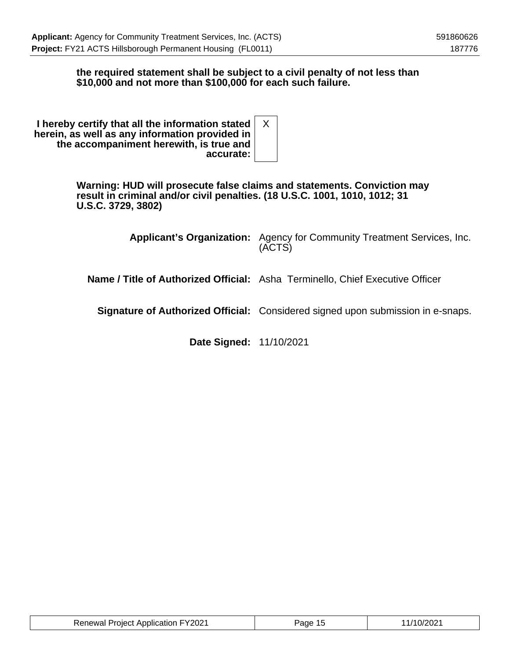### **the required statement shall be subject to a civil penalty of not less than \$10,000 and not more than \$100,000 for each such failure.**

| I hereby certify that all the information stated<br>herein, as well as any information provided in |  |
|----------------------------------------------------------------------------------------------------|--|
| the accompaniment herewith, is true and<br>accurate:                                               |  |
|                                                                                                    |  |

**Warning: HUD will prosecute false claims and statements. Conviction may result in criminal and/or civil penalties. (18 U.S.C. 1001, 1010, 1012; 31 U.S.C. 3729, 3802)**

| Applicant's Organization: Agency for Community Treatment Services, Inc.<br>(ACTS)      |
|----------------------------------------------------------------------------------------|
| <b>Name / Title of Authorized Official:</b> Asha Terminello, Chief Executive Officer   |
| <b>Signature of Authorized Official:</b> Considered signed upon submission in e-snaps. |

**Date Signed:** 11/10/2021

| <b>Renewal Project Application FY2021</b> | Page 15 | 11/10/2021 |
|-------------------------------------------|---------|------------|
|-------------------------------------------|---------|------------|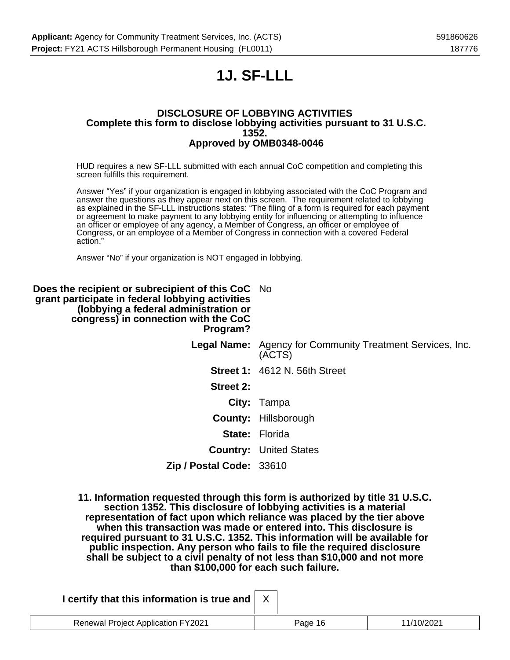# **1J. SF-LLL**

#### **DISCLOSURE OF LOBBYING ACTIVITIES Complete this form to disclose lobbying activities pursuant to 31 U.S.C. 1352. Approved by OMB0348-0046**

HUD requires a new SF-LLL submitted with each annual CoC competition and completing this screen fulfills this requirement.

Answer "Yes" if your organization is engaged in lobbying associated with the CoC Program and answer the questions as they appear next on this screen. The requirement related to lobbying as explained in the SF-LLL instructions states: "The filing of a form is required for each payment or agreement to make payment to any lobbying entity for influencing or attempting to influence an officer or employee of any agency, a Member of Congress, an officer or employee of Congress, or an employee of a Member of Congress in connection with a covered Federal action."

Answer "No" if your organization is NOT engaged in lobbying.

| Does the recipient or subrecipient of this CoC No<br>grant participate in federal lobbying activities<br>(lobbying a federal administration or<br>congress) in connection with the CoC<br>Program? |                                                                            |
|----------------------------------------------------------------------------------------------------------------------------------------------------------------------------------------------------|----------------------------------------------------------------------------|
|                                                                                                                                                                                                    | <b>Legal Name:</b> Agency for Community Treatment Services, Inc.<br>(ACTS) |
|                                                                                                                                                                                                    | <b>Street 1: 4612 N. 56th Street</b>                                       |
| <b>Street 2:</b>                                                                                                                                                                                   |                                                                            |
|                                                                                                                                                                                                    | City: Tampa                                                                |
|                                                                                                                                                                                                    | <b>County: Hillsborough</b>                                                |
|                                                                                                                                                                                                    | <b>State: Florida</b>                                                      |
|                                                                                                                                                                                                    | <b>Country: United States</b>                                              |
| Zip / Postal Code: 33610                                                                                                                                                                           |                                                                            |
|                                                                                                                                                                                                    |                                                                            |

**11. Information requested through this form is authorized by title 31 U.S.C. section 1352. This disclosure of lobbying activities is a material representation of fact upon which reliance was placed by the tier above when this transaction was made or entered into. This disclosure is required pursuant to 31 U.S.C. 1352. This information will be available for public inspection. Any person who fails to file the required disclosure shall be subject to a civil penalty of not less than \$10,000 and not more than \$100,000 for each such failure.**

| I certify that this information is true and $\vert$ |         |            |
|-----------------------------------------------------|---------|------------|
| <b>Renewal Project Application FY2021</b>           | Page 16 | 11/10/2021 |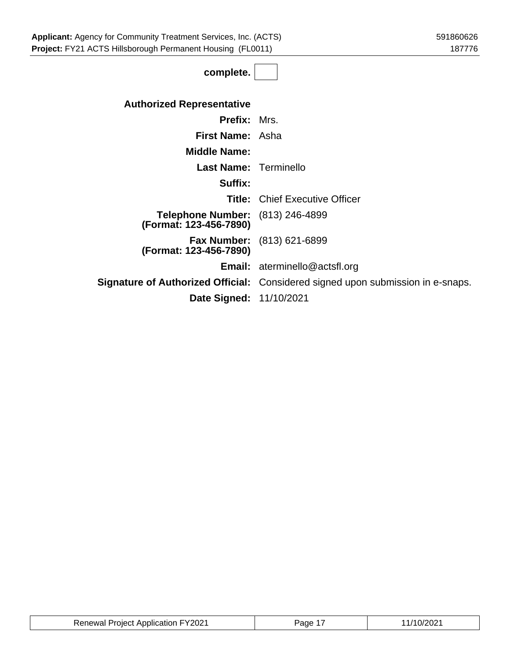| complete.                                                         |                                                                                        |
|-------------------------------------------------------------------|----------------------------------------------------------------------------------------|
| <b>Authorized Representative</b>                                  |                                                                                        |
| <b>Prefix: Mrs.</b>                                               |                                                                                        |
| <b>First Name:</b> Asha                                           |                                                                                        |
| <b>Middle Name:</b>                                               |                                                                                        |
| <b>Last Name:</b> Terminello                                      |                                                                                        |
| Suffix:                                                           |                                                                                        |
|                                                                   | <b>Title:</b> Chief Executive Officer                                                  |
| <b>Telephone Number:</b> (813) 246-4899<br>(Format: 123-456-7890) |                                                                                        |
| (Format: 123-456-7890)                                            | <b>Fax Number:</b> (813) 621-6899                                                      |
|                                                                   | <b>Email:</b> aterminello@actsfl.org                                                   |
|                                                                   | <b>Signature of Authorized Official:</b> Considered signed upon submission in e-snaps. |
| Date Signed: 11/10/2021                                           |                                                                                        |

| <b>Renewal Project Application FY2021</b> | Page 1 | 11/10/2021 |
|-------------------------------------------|--------|------------|
|-------------------------------------------|--------|------------|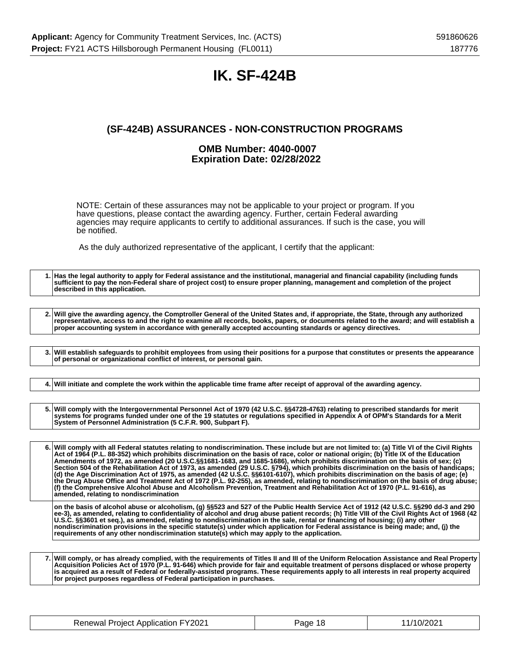## **IK. SF-424B**

### **(SF-424B) ASSURANCES - NON-CONSTRUCTION PROGRAMS**

### **OMB Number: 4040-0007 Expiration Date: 02/28/2022**

NOTE: Certain of these assurances may not be applicable to your project or program. If you have questions, please contact the awarding agency. Further, certain Federal awarding agencies may require applicants to certify to additional assurances. If such is the case, you will be notified.

As the duly authorized representative of the applicant, I certify that the applicant:

**1. Has the legal authority to apply for Federal assistance and the institutional, managerial and financial capability (including funds sufficient to pay the non-Federal share of project cost) to ensure proper planning, management and completion of the project described in this application. 2. Will give the awarding agency, the Comptroller General of the United States and, if appropriate, the State, through any authorized representative, access to and the right to examine all records, books, papers, or documents related to the award; and will establish a proper accounting system in accordance with generally accepted accounting standards or agency directives.**

**3. Will establish safeguards to prohibit employees from using their positions for a purpose that constitutes or presents the appearance of personal or organizational conflict of interest, or personal gain.**

**4. Will initiate and complete the work within the applicable time frame after receipt of approval of the awarding agency.**

**5. Will comply with the Intergovernmental Personnel Act of 1970 (42 U.S.C. §§4728-4763) relating to prescribed standards for merit systems for programs funded under one of the 19 statutes or regulations specified in Appendix A of OPM's Standards for a Merit System of Personnel Administration (5 C.F.R. 900, Subpart F).**

**6. Will comply with all Federal statutes relating to nondiscrimination. These include but are not limited to: (a) Title VI of the Civil Rights Act of 1964 (P.L. 88-352) which prohibits discrimination on the basis of race, color or national origin; (b) Title IX of the Education Amendments of 1972, as amended (20 U.S.C.§§1681-1683, and 1685-1686), which prohibits discrimination on the basis of sex; (c) Section 504 of the Rehabilitation Act of 1973, as amended (29 U.S.C. §794), which prohibits discrimination on the basis of handicaps; (d) the Age Discrimination Act of 1975, as amended (42 U.S.C. §§6101-6107), which prohibits discrimination on the basis of age; (e) the Drug Abuse Office and Treatment Act of 1972 (P.L. 92-255), as amended, relating to nondiscrimination on the basis of drug abuse; (f) the Comprehensive Alcohol Abuse and Alcoholism Prevention, Treatment and Rehabilitation Act of 1970 (P.L. 91-616), as amended, relating to nondiscrimination**

**on the basis of alcohol abuse or alcoholism, (g) §§523 and 527 of the Public Health Service Act of 1912 (42 U.S.C. §§290 dd-3 and 290 ee-3), as amended, relating to confidentiality of alcohol and drug abuse patient records; (h) Title VIII of the Civil Rights Act of 1968 (42 U.S.C. §§3601 et seq.), as amended, relating to nondiscrimination in the sale, rental or financing of housing; (i) any other nondiscrimination provisions in the specific statute(s) under which application for Federal assistance is being made; and, (j) the requirements of any other nondiscrimination statute(s) which may apply to the application.**

**7. Will comply, or has already complied, with the requirements of Titles II and III of the Uniform Relocation Assistance and Real Property Acquisition Policies Act of 1970 (P.L. 91-646) which provide for fair and equitable treatment of persons displaced or whose property is acquired as a result of Federal or federally-assisted programs. These requirements apply to all interests in real property acquired for project purposes regardless of Federal participation in purchases.**

| <b>Renewal Project Application FY2021</b> | Page 18 | 11/10/2021 |
|-------------------------------------------|---------|------------|
|-------------------------------------------|---------|------------|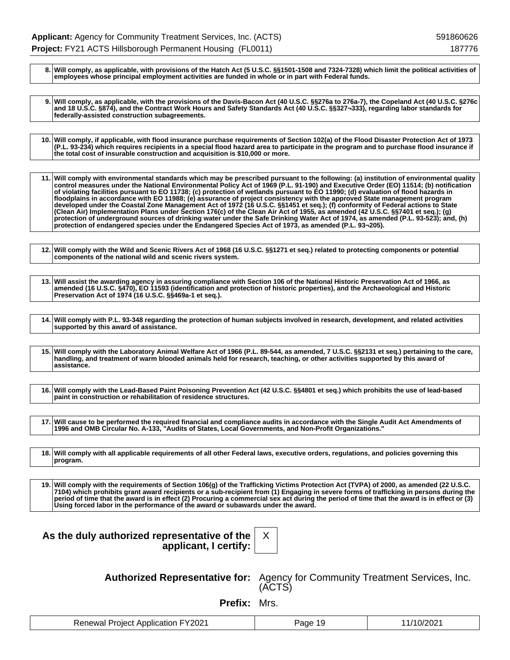**8. Will comply, as applicable, with provisions of the Hatch Act (5 U.S.C. §§1501-1508 and 7324-7328) which limit the political activities of employees whose principal employment activities are funded in whole or in part with Federal funds.**

**9. Will comply, as applicable, with the provisions of the Davis-Bacon Act (40 U.S.C. §§276a to 276a-7), the Copeland Act (40 U.S.C. §276c and 18 U.S.C. §874), and the Contract Work Hours and Safety Standards Act (40 U.S.C. §§327¬333), regarding labor standards for federally-assisted construction subagreements.**

**10. Will comply, if applicable, with flood insurance purchase requirements of Section 102(a) of the Flood Disaster Protection Act of 1973 (P.L. 93-234) which requires recipients in a special flood hazard area to participate in the program and to purchase flood insurance if the total cost of insurable construction and acquisition is \$10,000 or more.**

**11. Will comply with environmental standards which may be prescribed pursuant to the following: (a) institution of environmental quality control measures under the National Environmental Policy Act of 1969 (P.L. 91-190) and Executive Order (EO) 11514; (b) notification of violating facilities pursuant to EO 11738; (c) protection of wetlands pursuant to EO 11990; (d) evaluation of flood hazards in floodplains in accordance with EO 11988; (e) assurance of project consistency with the approved State management program developed under the Coastal Zone Management Act of 1972 (16 U.S.C. §§1451 et seq.); (f) conformity of Federal actions to State (Clean Air) Implementation Plans under Section 176(c) of the Clean Air Act of 1955, as amended (42 U.S.C. §§7401 et seq.); (g) protection of underground sources of drinking water under the Safe Drinking Water Act of 1974, as amended (P.L. 93-523); and, (h) protection of endangered species under the Endangered Species Act of 1973, as amended (P.L. 93¬205).**

**12. Will comply with the Wild and Scenic Rivers Act of 1968 (16 U.S.C. §§1271 et seq.) related to protecting components or potential components of the national wild and scenic rivers system.**

**13. Will assist the awarding agency in assuring compliance with Section 106 of the National Historic Preservation Act of 1966, as amended (16 U.S.C. §470), EO 11593 (identification and protection of historic properties), and the Archaeological and Historic Preservation Act of 1974 (16 U.S.C. §§469a-1 et seq.).**

**14. Will comply with P.L. 93-348 regarding the protection of human subjects involved in research, development, and related activities supported by this award of assistance.**

**15. Will comply with the Laboratory Animal Welfare Act of 1966 (P.L. 89-544, as amended, 7 U.S.C. §§2131 et seq.) pertaining to the care, handling, and treatment of warm blooded animals held for research, teaching, or other activities supported by this award of assistance.**

**16. Will comply with the Lead-Based Paint Poisoning Prevention Act (42 U.S.C. §§4801 et seq.) which prohibits the use of lead-based paint in construction or rehabilitation of residence structures.**

**17. Will cause to be performed the required financial and compliance audits in accordance with the Single Audit Act Amendments of 1996 and OMB Circular No. A-133, "Audits of States, Local Governments, and Non-Profit Organizations."**

**18. Will comply with all applicable requirements of all other Federal laws, executive orders, regulations, and policies governing this program.**

**19. Will comply with the requirements of Section 106(g) of the Trafficking Victims Protection Act (TVPA) of 2000, as amended (22 U.S.C. 7104) which prohibits grant award recipients or a sub-recipient from (1) Engaging in severe forms of trafficking in persons during the period of time that the award is in effect (2) Procuring a commercial sex act during the period of time that the award is in effect or (3) Using forced labor in the performance of the award or subawards under the award.**

X

| As the duly authorized representative of the |  |
|----------------------------------------------|--|
| applicant, $I$ certify: $ $                  |  |

|  | Authorized Representative for: Agency for Community Treatment Services, Inc.<br>(ACTS) |
|--|----------------------------------------------------------------------------------------|
|--|----------------------------------------------------------------------------------------|

**Prefix:** Mrs.

| <b>Renewal Project Application FY2021</b> | Page 19 | 11/10/2021 |
|-------------------------------------------|---------|------------|
|-------------------------------------------|---------|------------|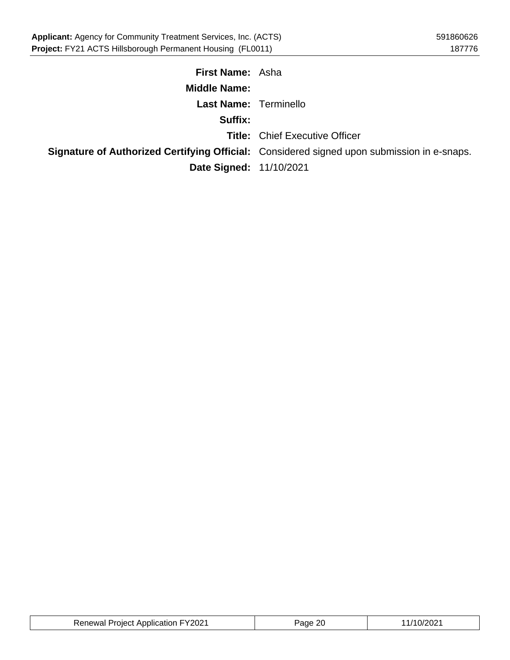| First Name: Asha             |                                                                                                   |
|------------------------------|---------------------------------------------------------------------------------------------------|
| <b>Middle Name:</b>          |                                                                                                   |
| <b>Last Name: Terminello</b> |                                                                                                   |
| Suffix:                      |                                                                                                   |
|                              | <b>Title: Chief Executive Officer</b>                                                             |
|                              | <b>Signature of Authorized Certifying Official:</b> Considered signed upon submission in e-snaps. |
| Date Signed: 11/10/2021      |                                                                                                   |

| <b>Renewal Project Application FY2021</b> | Page | /10/2021 |
|-------------------------------------------|------|----------|
|-------------------------------------------|------|----------|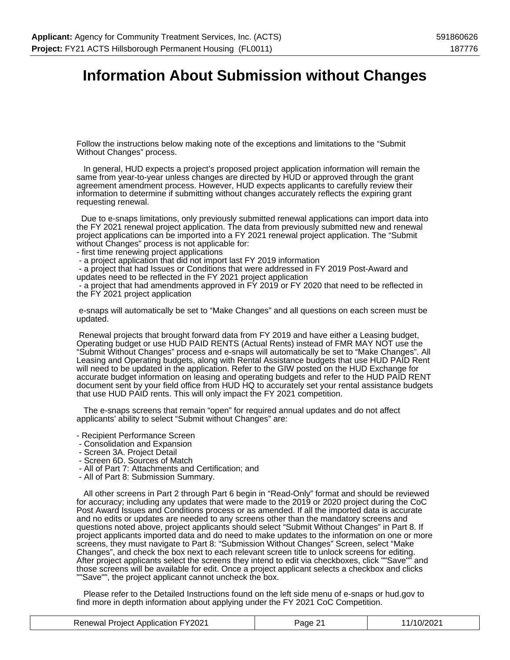## **Information About Submission without Changes**

Follow the instructions below making note of the exceptions and limitations to the "Submit Without Changes" process.

 In general, HUD expects a project's proposed project application information will remain the same from year-to-year unless changes are directed by HUD or approved through the grant agreement amendment process. However, HUD expects applicants to carefully review their information to determine if submitting without changes accurately reflects the expiring grant requesting renewal.

 Due to e-snaps limitations, only previously submitted renewal applications can import data into the FY 2021 renewal project application. The data from previously submitted new and renewal project applications can be imported into a FY 2021 renewal project application. The "Submit without Changes" process is not applicable for:

- first time renewing project applications
- a project application that did not import last FY 2019 information

 - a project that had Issues or Conditions that were addressed in FY 2019 Post-Award and updates need to be reflected in the FY 2021 project application

 - a project that had amendments approved in FY 2019 or FY 2020 that need to be reflected in the FY 2021 project application

 e-snaps will automatically be set to "Make Changes" and all questions on each screen must be updated.

 Renewal projects that brought forward data from FY 2019 and have either a Leasing budget, Operating budget or use HUD PAID RENTS (Actual Rents) instead of FMR MAY NOT use the "Submit Without Changes" process and e-snaps will automatically be set to "Make Changes". All Leasing and Operating budgets, along with Rental Assistance budgets that use HUD PAID Rent will need to be updated in the application. Refer to the GIW posted on the HUD Exchange for accurate budget information on leasing and operating budgets and refer to the HUD PAID RENT document sent by your field office from HUD HQ to accurately set your rental assistance budgets that use HUD PAID rents. This will only impact the FY 2021 competition.

 The e-snaps screens that remain "open" for required annual updates and do not affect applicants' ability to select "Submit without Changes" are:

- Recipient Performance Screen
- Consolidation and Expansion
- Screen 3A. Project Detail
- Screen 6D. Sources of Match
- All of Part 7: Attachments and Certification; and
- All of Part 8: Submission Summary.

 All other screens in Part 2 through Part 6 begin in "Read-Only" format and should be reviewed for accuracy; including any updates that were made to the 2019 or 2020 project during the CoC Post Award Issues and Conditions process or as amended. If all the imported data is accurate and no edits or updates are needed to any screens other than the mandatory screens and questions noted above, project applicants should select "Submit Without Changes" in Part 8. If project applicants imported data and do need to make updates to the information on one or more screens, they must navigate to Part 8: "Submission Without Changes" Screen, select "Make Changes", and check the box next to each relevant screen title to unlock screens for editing. After project applicants select the screens they intend to edit via checkboxes, click ""Save"" and those screens will be available for edit. Once a project applicant selects a checkbox and clicks ""Save"", the project applicant cannot uncheck the box.

 Please refer to the Detailed Instructions found on the left side menu of e-snaps or hud.gov to find more in depth information about applying under the FY 2021 CoC Competition.

| <b>Renewal Project Application FY2021</b> | Page 21 | 11/10/2021 |
|-------------------------------------------|---------|------------|
|-------------------------------------------|---------|------------|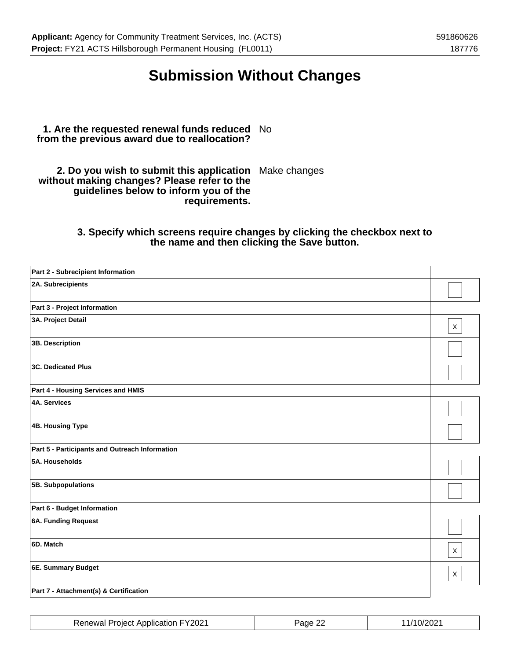## **Submission Without Changes**

**1. Are the requested renewal funds reduced** No **from the previous award due to reallocation?**

**2. Do you wish to submit this application** Make changes **without making changes? Please refer to the guidelines below to inform you of the requirements.**

### **3. Specify which screens require changes by clicking the checkbox next to the name and then clicking the Save button.**

| Part 2 - Subrecipient Information              |             |
|------------------------------------------------|-------------|
| 2A. Subrecipients                              |             |
| Part 3 - Project Information                   |             |
| 3A. Project Detail                             | $\mathsf X$ |
| 3B. Description                                |             |
| <b>3C. Dedicated Plus</b>                      |             |
| Part 4 - Housing Services and HMIS             |             |
| <b>4A. Services</b>                            |             |
| 4B. Housing Type                               |             |
| Part 5 - Participants and Outreach Information |             |
| 5A. Households                                 |             |
| 5B. Subpopulations                             |             |
| Part 6 - Budget Information                    |             |
| 6A. Funding Request                            |             |
| 6D. Match                                      | $\mathsf X$ |
| 6E. Summary Budget                             | X           |
| Part 7 - Attachment(s) & Certification         |             |

| <b>Renewal Project Application FY2021</b> | Page 22 | 11/10/2021 |
|-------------------------------------------|---------|------------|
|-------------------------------------------|---------|------------|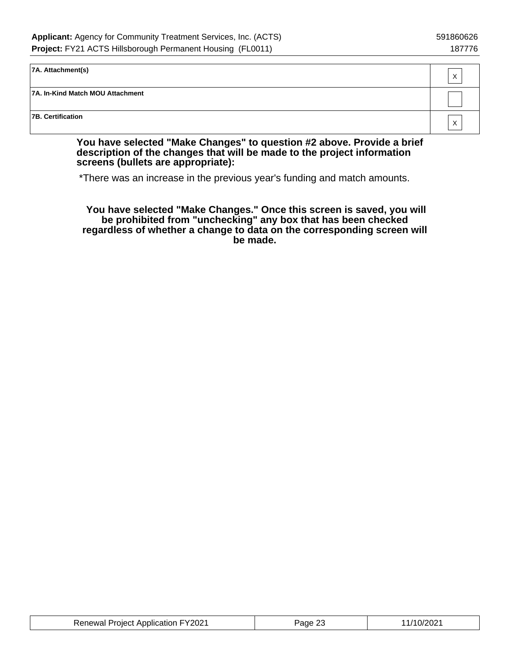## **7A. Attachment(s)** X **7A. In-Kind Match MOU Attachment 7B. Certification** X

**You have selected "Make Changes" to question #2 above. Provide a brief description of the changes that will be made to the project information screens (bullets are appropriate):**

\*There was an increase in the previous year's funding and match amounts.

 **You have selected "Make Changes." Once this screen is saved, you will be prohibited from "unchecking" any box that has been checked regardless of whether a change to data on the corresponding screen will be made.**

| <b>Renewal Project Application FY2021</b> | Page $23$ | 11/10/2021 |
|-------------------------------------------|-----------|------------|
|-------------------------------------------|-----------|------------|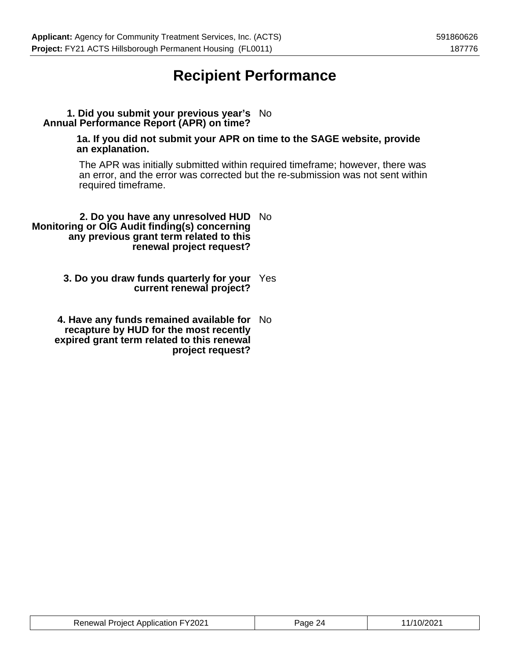## **Recipient Performance**

### **1. Did you submit your previous year's** No **Annual Performance Report (APR) on time?**

**1a. If you did not submit your APR on time to the SAGE website, provide an explanation.**

The APR was initially submitted within required timeframe; however, there was an error, and the error was corrected but the re-submission was not sent within required timeframe.

#### **2. Do you have any unresolved HUD** No **Monitoring or OIG Audit finding(s) concerning any previous grant term related to this renewal project request?**

- **3. Do you draw funds quarterly for your** Yes **current renewal project?**
- **4. Have any funds remained available for** No **recapture by HUD for the most recently expired grant term related to this renewal project request?**

| <b>Renewal Project Application FY2021</b> | Page 24 | 11/10/2021 |
|-------------------------------------------|---------|------------|
|-------------------------------------------|---------|------------|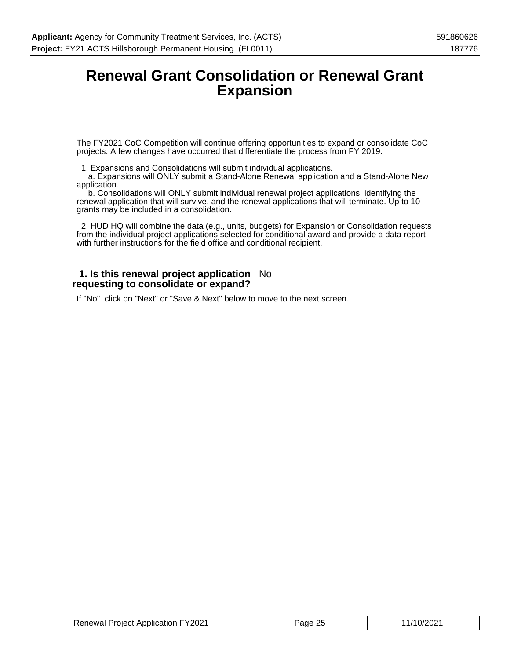## **Renewal Grant Consolidation or Renewal Grant Expansion**

The FY2021 CoC Competition will continue offering opportunities to expand or consolidate CoC projects. A few changes have occurred that differentiate the process from FY 2019.

1. Expansions and Consolidations will submit individual applications.

 a. Expansions will ONLY submit a Stand-Alone Renewal application and a Stand-Alone New application.

 b. Consolidations will ONLY submit individual renewal project applications, identifying the renewal application that will survive, and the renewal applications that will terminate. Up to 10 grants may be included in a consolidation.

 2. HUD HQ will combine the data (e.g., units, budgets) for Expansion or Consolidation requests from the individual project applications selected for conditional award and provide a data report with further instructions for the field office and conditional recipient.

#### **1. Is this renewal project application** No **requesting to consolidate or expand?**

If "No" click on "Next" or "Save & Next" below to move to the next screen.

| <b>Renewal Project Application FY2021</b> | Page 25 | 11/10/2021 |
|-------------------------------------------|---------|------------|
|-------------------------------------------|---------|------------|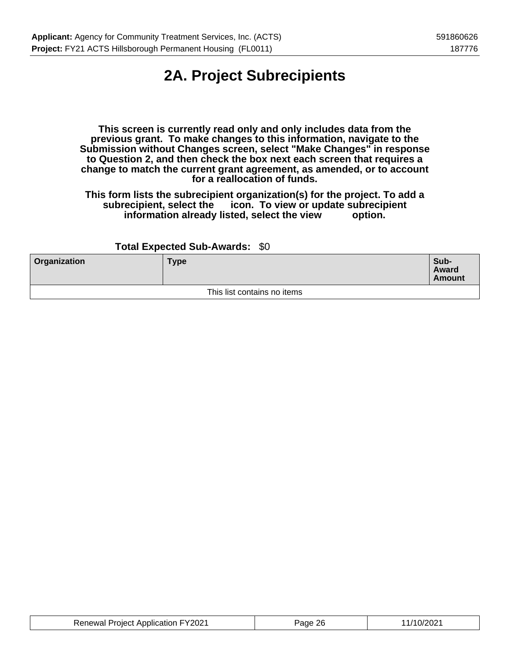## **2A. Project Subrecipients**

**This screen is currently read only and only includes data from the previous grant. To make changes to this information, navigate to the Submission without Changes screen, select "Make Changes" in response to Question 2, and then check the box next each screen that requires a change to match the current grant agreement, as amended, or to account for a reallocation of funds.**

**This form lists the subrecipient organization(s) for the project. To add a subrecipient, select the icon. To view or update subrecipient** information already listed, select the view

|  |  | <b>Total Expected Sub-Awards: \$0</b> |  |
|--|--|---------------------------------------|--|
|--|--|---------------------------------------|--|

| <b>Organization</b> | <b>Type</b>                 | Sub-<br>Award<br><b>Amount</b> |
|---------------------|-----------------------------|--------------------------------|
|                     | This list contains no items |                                |

| <b>Renewal Project Application FY2021</b> | Page 26 | 11/10/2021 |
|-------------------------------------------|---------|------------|
|-------------------------------------------|---------|------------|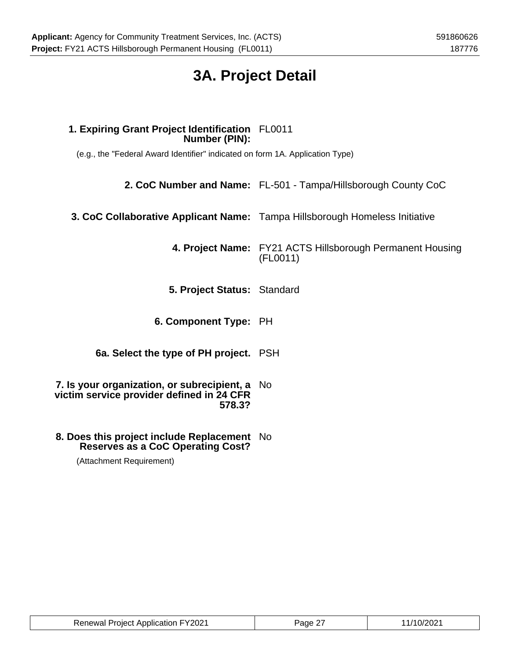## **3A. Project Detail**

### **1. Expiring Grant Project Identification** FL0011 **Number (PIN):**

(e.g., the "Federal Award Identifier" indicated on form 1A. Application Type)

**2. CoC Number and Name:** FL-501 - Tampa/Hillsborough County CoC

**3. CoC Collaborative Applicant Name:** Tampa Hillsborough Homeless Initiative

**4. Project Name:** FY21 ACTS Hillsborough Permanent Housing (FL0011)

- **5. Project Status:** Standard
- **6. Component Type:** PH
- **6a. Select the type of PH project.** PSH
- **7. Is your organization, or subrecipient, a** No **victim service provider defined in 24 CFR 578.3?**
- **8. Does this project include Replacement** No **Reserves as a CoC Operating Cost?**

(Attachment Requirement)

| <b>Renewal Project Application FY2021</b> | Page 27 | 11/10/2021 |
|-------------------------------------------|---------|------------|
|-------------------------------------------|---------|------------|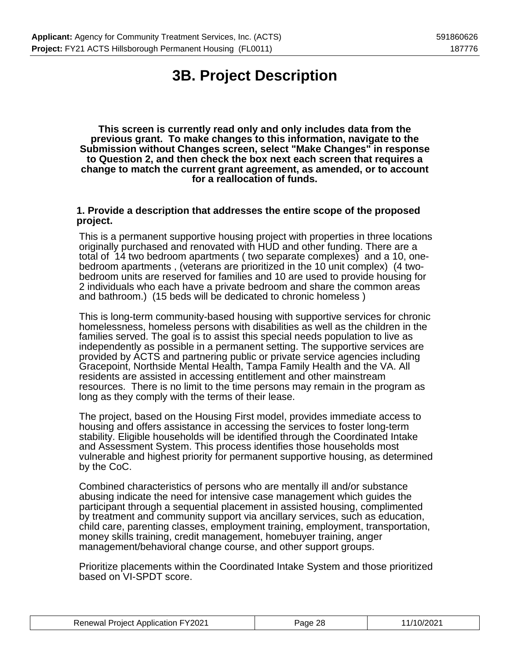## **3B. Project Description**

**This screen is currently read only and only includes data from the previous grant. To make changes to this information, navigate to the Submission without Changes screen, select "Make Changes" in response to Question 2, and then check the box next each screen that requires a change to match the current grant agreement, as amended, or to account for a reallocation of funds.**

### **1. Provide a description that addresses the entire scope of the proposed project.**

This is a permanent supportive housing project with properties in three locations originally purchased and renovated with HUD and other funding. There are a total of 14 two bedroom apartments ( two separate complexes) and a 10, onebedroom apartments , (veterans are prioritized in the 10 unit complex) (4 twobedroom units are reserved for families and 10 are used to provide housing for 2 individuals who each have a private bedroom and share the common areas and bathroom.) (15 beds will be dedicated to chronic homeless )

This is long-term community-based housing with supportive services for chronic homelessness, homeless persons with disabilities as well as the children in the families served. The goal is to assist this special needs population to live as independently as possible in a permanent setting. The supportive services are provided by ACTS and partnering public or private service agencies including Gracepoint, Northside Mental Health, Tampa Family Health and the VA. All residents are assisted in accessing entitlement and other mainstream resources. There is no limit to the time persons may remain in the program as long as they comply with the terms of their lease.

The project, based on the Housing First model, provides immediate access to housing and offers assistance in accessing the services to foster long-term stability. Eligible households will be identified through the Coordinated Intake and Assessment System. This process identifies those households most vulnerable and highest priority for permanent supportive housing, as determined by the CoC.

Combined characteristics of persons who are mentally ill and/or substance abusing indicate the need for intensive case management which guides the participant through a sequential placement in assisted housing, complimented by treatment and community support via ancillary services, such as education, child care, parenting classes, employment training, employment, transportation, money skills training, credit management, homebuyer training, anger management/behavioral change course, and other support groups.

Prioritize placements within the Coordinated Intake System and those prioritized based on VI-SPDT score.

| <b>Renewal Project Application FY2021</b> | Page 28 | 11/10/2021 |
|-------------------------------------------|---------|------------|
|-------------------------------------------|---------|------------|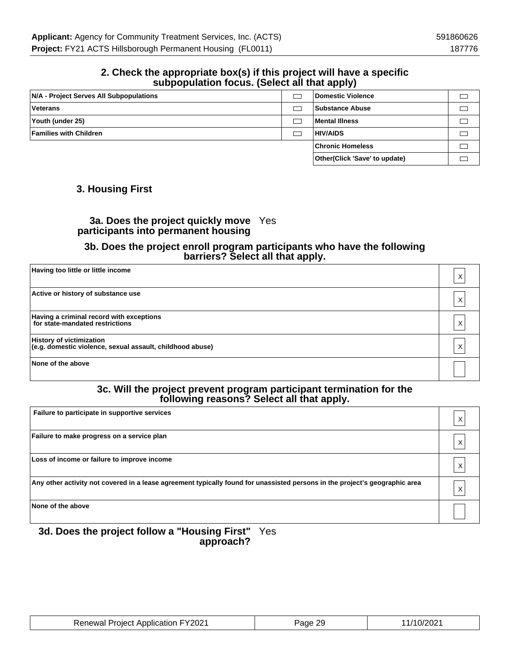### **2. Check the appropriate box(s) if this project will have a specific subpopulation focus. (Select all that apply)**

| N/A - Project Serves All Subpopulations | Domestic Violence             |  |
|-----------------------------------------|-------------------------------|--|
| <b>Veterans</b>                         | Substance Abuse               |  |
| Youth (under 25)                        | Mental Illness                |  |
| Families with Children                  | <b>HIV/AIDS</b>               |  |
|                                         | <b>Chronic Homeless</b>       |  |
|                                         | Other(Click 'Save' to update) |  |

### **3. Housing First**

### **3a. Does the project quickly move** Yes **participants into permanent housing**

### **3b. Does the project enroll program participants who have the following barriers? Select all that apply.**

| Having too little or little income                                                           | х |
|----------------------------------------------------------------------------------------------|---|
| Active or history of substance use                                                           | X |
| Having a criminal record with exceptions<br>for state-mandated restrictions                  | Χ |
| <b>History of victimization</b><br>(e.g. domestic violence, sexual assault, childhood abuse) | X |
| None of the above                                                                            |   |

#### **3c. Will the project prevent program participant termination for the following reasons? Select all that apply.**

| Failure to participate in supportive services                                                                               |   |
|-----------------------------------------------------------------------------------------------------------------------------|---|
| Failure to make progress on a service plan                                                                                  |   |
| Loss of income or failure to improve income                                                                                 |   |
| Any other activity not covered in a lease agreement typically found for unassisted persons in the project's geographic area | X |
| None of the above                                                                                                           |   |

#### **3d. Does the project follow a "Housing First"** Yes **approach?**

| <b>Renewal Project Application FY2021</b> | Page 29 | 11/10/2021 |
|-------------------------------------------|---------|------------|
|-------------------------------------------|---------|------------|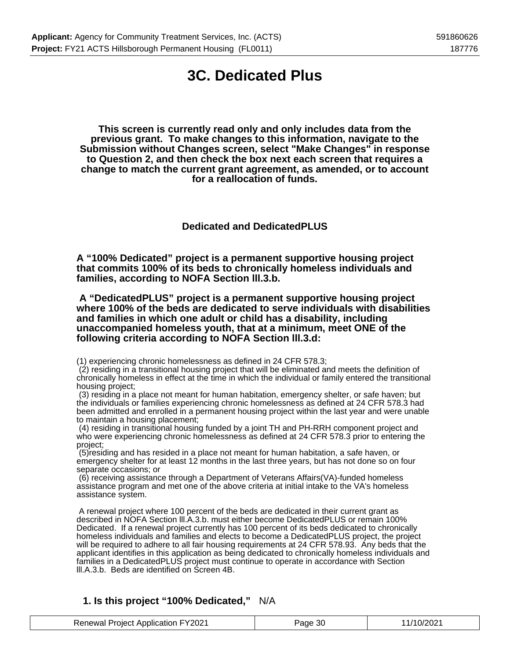## **3C. Dedicated Plus**

**This screen is currently read only and only includes data from the previous grant. To make changes to this information, navigate to the Submission without Changes screen, select "Make Changes" in response to Question 2, and then check the box next each screen that requires a change to match the current grant agreement, as amended, or to account for a reallocation of funds.**

**Dedicated and DedicatedPLUS**

**A "100% Dedicated" project is a permanent supportive housing project that commits 100% of its beds to chronically homeless individuals and families, according to NOFA Section lll.3.b.**

 **A "DedicatedPLUS" project is a permanent supportive housing project where 100% of the beds are dedicated to serve individuals with disabilities and families in which one adult or child has a disability, including unaccompanied homeless youth, that at a minimum, meet ONE of the following criteria according to NOFA Section lll.3.d:**

(1) experiencing chronic homelessness as defined in 24 CFR 578.3;

 (2) residing in a transitional housing project that will be eliminated and meets the definition of chronically homeless in effect at the time in which the individual or family entered the transitional housing project;

 (3) residing in a place not meant for human habitation, emergency shelter, or safe haven; but the individuals or families experiencing chronic homelessness as defined at 24 CFR 578.3 had been admitted and enrolled in a permanent housing project within the last year and were unable to maintain a housing placement;

 (4) residing in transitional housing funded by a joint TH and PH-RRH component project and who were experiencing chronic homelessness as defined at 24 CFR 578.3 prior to entering the project;

 (5)residing and has resided in a place not meant for human habitation, a safe haven, or emergency shelter for at least 12 months in the last three years, but has not done so on four separate occasions; or

 (6) receiving assistance through a Department of Veterans Affairs(VA)-funded homeless assistance program and met one of the above criteria at initial intake to the VA's homeless assistance system.

 A renewal project where 100 percent of the beds are dedicated in their current grant as described in NOFA Section lll.A.3.b. must either become DedicatedPLUS or remain 100% Dedicated. If a renewal project currently has 100 percent of its beds dedicated to chronically homeless individuals and families and elects to become a DedicatedPLUS project, the project will be required to adhere to all fair housing requirements at 24 CFR 578.93. Any beds that the applicant identifies in this application as being dedicated to chronically homeless individuals and families in a DedicatedPLUS project must continue to operate in accordance with Section lll.A.3.b. Beds are identified on Screen 4B.

### **1. Is this project "100% Dedicated,"** N/A

| <b>Renewal Project Application FY2021</b> | Page 30 | 11/10/2021 |
|-------------------------------------------|---------|------------|
|-------------------------------------------|---------|------------|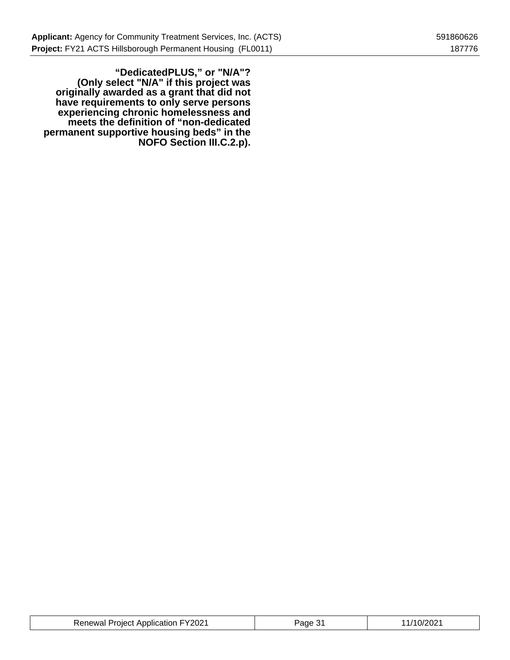**"DedicatedPLUS," or "N/A"? (Only select "N/A" if this project was originally awarded as a grant that did not have requirements to only serve persons experiencing chronic homelessness and meets the definition of "non-dedicated permanent supportive housing beds" in the NOFO Section III.C.2.p).**

| <b>Renewal Project Application FY2021</b> | Page | $10/202^*$ |
|-------------------------------------------|------|------------|
|-------------------------------------------|------|------------|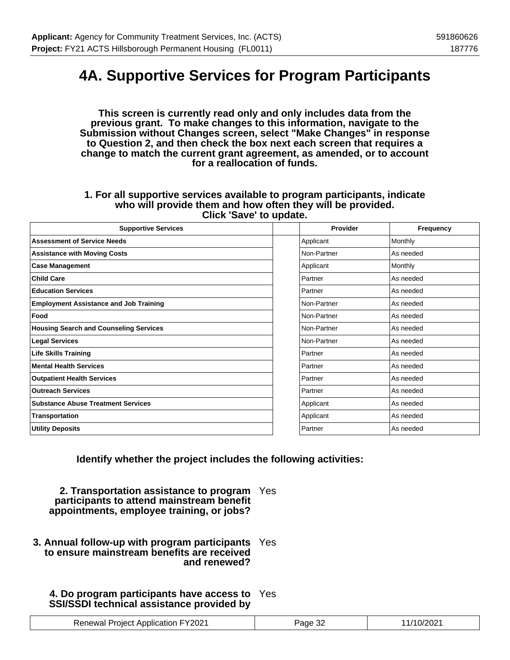## **4A. Supportive Services for Program Participants**

**This screen is currently read only and only includes data from the previous grant. To make changes to this information, navigate to the Submission without Changes screen, select "Make Changes" in response to Question 2, and then check the box next each screen that requires a change to match the current grant agreement, as amended, or to account for a reallocation of funds.**

#### **1. For all supportive services available to program participants, indicate who will provide them and how often they will be provided. Click 'Save' to update.**

| <b>Supportive Services</b>                    | Provider    | Frequency |
|-----------------------------------------------|-------------|-----------|
| <b>Assessment of Service Needs</b>            | Applicant   | Monthly   |
| <b>Assistance with Moving Costs</b>           | Non-Partner | As needed |
| <b>Case Management</b>                        | Applicant   | Monthly   |
| <b>Child Care</b>                             | Partner     | As needed |
| <b>Education Services</b>                     | Partner     | As needed |
| <b>Employment Assistance and Job Training</b> | Non-Partner | As needed |
| Food                                          | Non-Partner | As needed |
| <b>Housing Search and Counseling Services</b> | Non-Partner | As needed |
| <b>Legal Services</b>                         | Non-Partner | As needed |
| <b>Life Skills Training</b>                   | Partner     | As needed |
| <b>Mental Health Services</b>                 | Partner     | As needed |
| <b>Outpatient Health Services</b>             | Partner     | As needed |
| <b>Outreach Services</b>                      | Partner     | As needed |
| <b>Substance Abuse Treatment Services</b>     | Applicant   | As needed |
| Transportation                                | Applicant   | As needed |
| <b>Utility Deposits</b>                       | Partner     | As needed |

**Identify whether the project includes the following activities:**

**2. Transportation assistance to program** Yes **participants to attend mainstream benefit appointments, employee training, or jobs?**

**3. Annual follow-up with program participants** Yes **to ensure mainstream benefits are received and renewed?**

### **4. Do program participants have access to** Yes **SSI/SSDI technical assistance provided by**

| <b>Renewal Project Application FY2021</b> | Page $32$ | 11/10/2021 |
|-------------------------------------------|-----------|------------|
|-------------------------------------------|-----------|------------|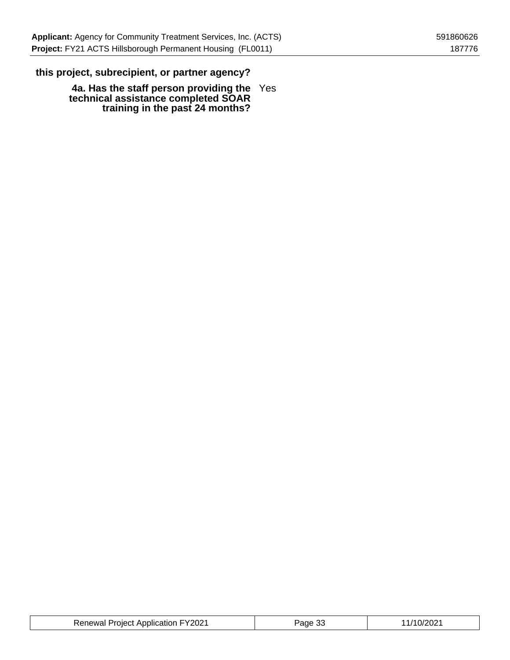### **this project, subrecipient, or partner agency?**

**4a. Has the staff person providing the technical assistance completed SOAR training in the past 24 months?** Yes

| <b>Renewal Project Application FY2021</b> | Page<br>تٽ | 1/10/2021 |
|-------------------------------------------|------------|-----------|
|-------------------------------------------|------------|-----------|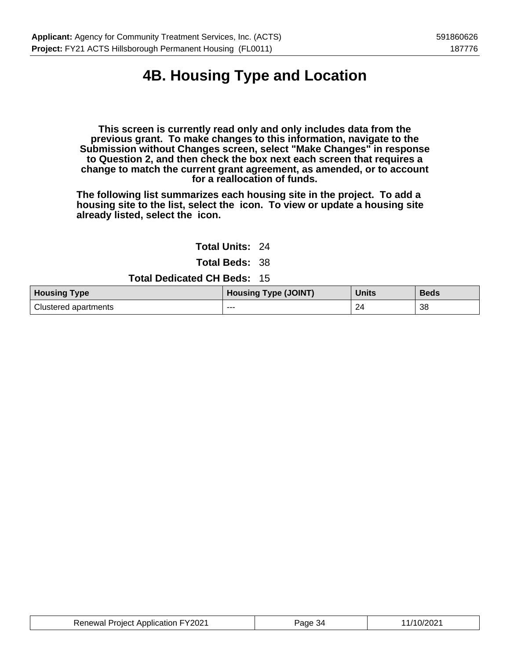## **4B. Housing Type and Location**

**This screen is currently read only and only includes data from the previous grant. To make changes to this information, navigate to the Submission without Changes screen, select "Make Changes" in response to Question 2, and then check the box next each screen that requires a change to match the current grant agreement, as amended, or to account for a reallocation of funds.**

**The following list summarizes each housing site in the project. To add a housing site to the list, select the icon. To view or update a housing site already listed, select the icon.**

#### **Total Units:** 24

#### **Total Beds:** 38

**Total Dedicated CH Beds:** 15

| <b>Housing Type</b>  | Housing Type (JOINT) | Units | <b>Beds</b> |
|----------------------|----------------------|-------|-------------|
| Clustered apartments | ---                  | 24    | 38          |

| <b>Renewal Project Application FY2021</b> | Page 34 | 11/10/2021 |
|-------------------------------------------|---------|------------|
|-------------------------------------------|---------|------------|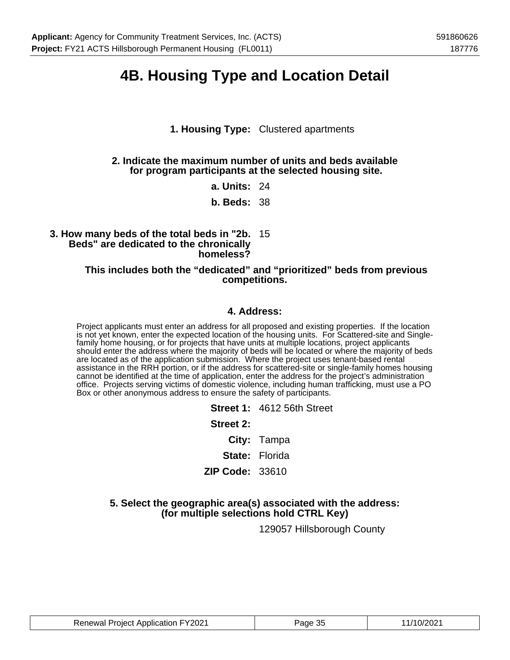## **4B. Housing Type and Location Detail**

### **1. Housing Type:** Clustered apartments

#### **2. Indicate the maximum number of units and beds available for program participants at the selected housing site.**

**a. Units:** 24

**b. Beds:** 38

#### **3. How many beds of the total beds in "2b.** 15 **Beds" are dedicated to the chronically homeless?**

#### **This includes both the "dedicated" and "prioritized" beds from previous competitions.**

### **4. Address:**

Project applicants must enter an address for all proposed and existing properties. If the location is not yet known, enter the expected location of the housing units. For Scattered-site and Singlefamily home housing, or for projects that have units at multiple locations, project applicants should enter the address where the majority of beds will be located or where the majority of beds are located as of the application submission. Where the project uses tenant-based rental assistance in the RRH portion, or if the address for scattered-site or single-family homes housing cannot be identified at the time of application, enter the address for the project's administration office. Projects serving victims of domestic violence, including human trafficking, must use a PO Box or other anonymous address to ensure the safety of participants.

|                  | Street 1: 4612 56th Street |
|------------------|----------------------------|
| <b>Street 2:</b> |                            |
|                  | City: Tampa                |
|                  | <b>State: Florida</b>      |
| ZIP Code: 33610  |                            |
|                  |                            |

#### **5. Select the geographic area(s) associated with the address: (for multiple selections hold CTRL Key)**

129057 Hillsborough County

| <b>Renewal Project Application FY2021</b> | Page 35 | 11/10/2021 |
|-------------------------------------------|---------|------------|
|-------------------------------------------|---------|------------|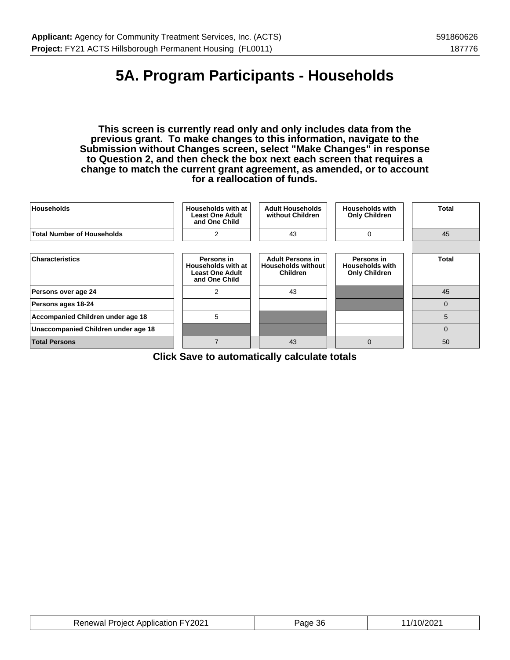## **5A. Program Participants - Households**

**This screen is currently read only and only includes data from the previous grant. To make changes to this information, navigate to the Submission without Changes screen, select "Make Changes" in response to Question 2, and then check the box next each screen that requires a change to match the current grant agreement, as amended, or to account for a reallocation of funds.**



**Click Save to automatically calculate totals**

| <b>Renewal Project Application FY2021</b> | Page 36 | 11/10/2021 |
|-------------------------------------------|---------|------------|
|-------------------------------------------|---------|------------|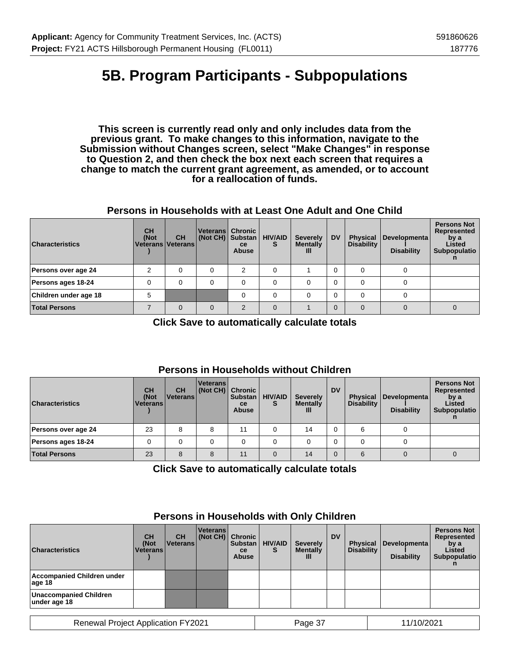## **5B. Program Participants - Subpopulations**

**This screen is currently read only and only includes data from the previous grant. To make changes to this information, navigate to the Submission without Changes screen, select "Make Changes" in response to Question 2, and then check the box next each screen that requires a change to match the current grant agreement, as amended, or to account for a reallocation of funds.**

### **Persons in Households with at Least One Adult and One Child**

| <b>Characteristics</b> | <b>CH</b><br>(Not<br>Veterans   Veterans | <b>CH</b> | (Not CH) Substan | Veterans Chronic<br><sub>ce</sub><br><b>Abuse</b> | <b>HIV/AID</b><br>S | <b>Severely</b><br><b>Mentally</b><br>Ш | <b>DV</b> | <b>Physical</b><br><b>Disability</b> | Developmenta<br><b>Disability</b> | <b>Persons Not</b><br>Represented<br>by a<br>Listed<br>Subpopulatio |
|------------------------|------------------------------------------|-----------|------------------|---------------------------------------------------|---------------------|-----------------------------------------|-----------|--------------------------------------|-----------------------------------|---------------------------------------------------------------------|
| Persons over age 24    |                                          |           |                  | ົ                                                 |                     |                                         |           |                                      |                                   |                                                                     |
| Persons ages 18-24     |                                          | 0         |                  | 0                                                 |                     |                                         |           |                                      |                                   |                                                                     |
| Children under age 18  | 5                                        |           |                  | 0                                                 |                     |                                         |           |                                      |                                   |                                                                     |
| <b>Total Persons</b>   |                                          |           | $\Omega$         | C                                                 | $\Omega$            |                                         |           | $\Omega$                             |                                   |                                                                     |

**Click Save to automatically calculate totals**

### **Persons in Households without Children**

| <b>Characteristics</b> | <b>CH</b><br>(Not<br><b>Veterans</b> | <b>CH</b><br><b>Veterans</b> | <b>Veterans</b><br>(Not CH) Chronic | <b>Substan</b><br><b>ce</b><br><b>Abuse</b> | <b>HIV/AID</b><br>s | <b>Severely</b><br><b>Mentally</b><br>Ш | <b>DV</b> | <b>Physical</b><br><b>Disability</b> | Developmenta<br><b>Disability</b> | <b>Persons Not</b><br>Represented<br>by a<br>Listed<br>Subpopulatio |
|------------------------|--------------------------------------|------------------------------|-------------------------------------|---------------------------------------------|---------------------|-----------------------------------------|-----------|--------------------------------------|-----------------------------------|---------------------------------------------------------------------|
| Persons over age 24    | 23                                   | 8                            | 8                                   |                                             |                     | 14                                      |           | 6                                    |                                   |                                                                     |
| Persons ages 18-24     | 0                                    | 0                            |                                     | 0                                           |                     | 0                                       |           | 0                                    |                                   |                                                                     |
| <b>Total Persons</b>   | 23                                   | 8                            | 8                                   | 11                                          |                     | 14                                      | 0         | 6                                    |                                   |                                                                     |

**Click Save to automatically calculate totals**

| <b>Characteristics</b>                        | <b>CH</b><br>(Not<br><b>Veterans</b> | <b>CH</b><br>l Veterans l | <b>Veterans</b><br>(Not CH) Chronic | <b>Substan</b><br>ce<br><b>Abuse</b> | <b>HIV/AID</b><br>S | <b>Severely</b><br><b>Mentally</b><br>Ш | <b>DV</b> | <b>Physical</b><br>Disability | Developmenta<br><b>Disability</b> | <b>Persons Not</b><br>Represented<br>by a<br>Listed<br>Subpopulatio |
|-----------------------------------------------|--------------------------------------|---------------------------|-------------------------------------|--------------------------------------|---------------------|-----------------------------------------|-----------|-------------------------------|-----------------------------------|---------------------------------------------------------------------|
| Accompanied Children under<br>age 18          |                                      |                           |                                     |                                      |                     |                                         |           |                               |                                   |                                                                     |
| <b>Unaccompanied Children</b><br>under age 18 |                                      |                           |                                     |                                      |                     |                                         |           |                               |                                   |                                                                     |

### **Persons in Households with Only Children**

Renewal Project Application FY2021 | Page 37 | 11/10/2021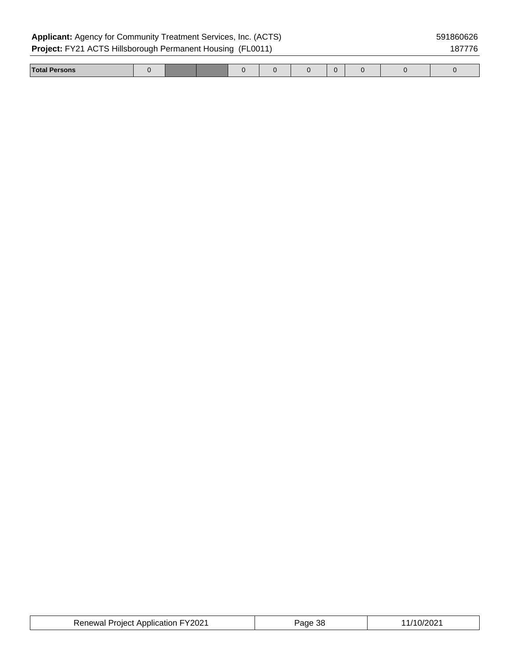| <b>Applicant: Agency for Community Treatment Services, Inc. (ACTS)</b> | 591860626 |
|------------------------------------------------------------------------|-----------|
| <b>Project:</b> FY21 ACTS Hillsborough Permanent Housing (FL0011)      | 187776    |

| Total I<br>Persons |  |  |  |  |  |  |  |
|--------------------|--|--|--|--|--|--|--|
|--------------------|--|--|--|--|--|--|--|

| <b>Renewal Project Application FY2021</b> | -38<br>Page | /10/2021 |
|-------------------------------------------|-------------|----------|
|-------------------------------------------|-------------|----------|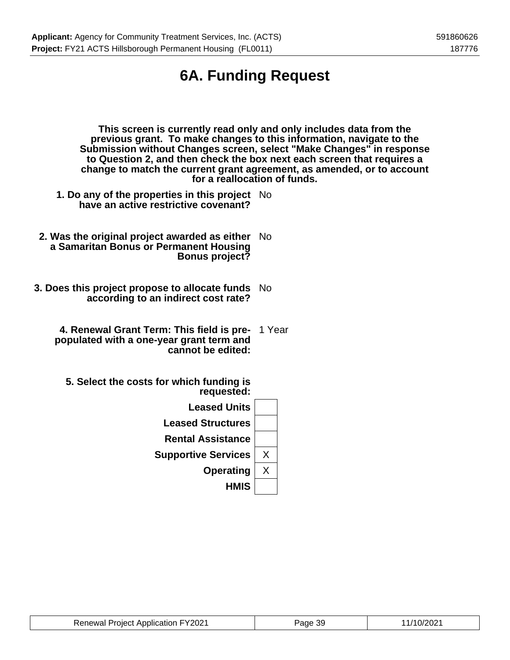## **6A. Funding Request**

**This screen is currently read only and only includes data from the previous grant. To make changes to this information, navigate to the Submission without Changes screen, select "Make Changes" in response to Question 2, and then check the box next each screen that requires a change to match the current grant agreement, as amended, or to account for a reallocation of funds.**

- **1. Do any of the properties in this project** No **have an active restrictive covenant?**
- **2. Was the original project awarded as either** No **a Samaritan Bonus or Permanent Housing Bonus project?**
- **3. Does this project propose to allocate funds** No **according to an indirect cost rate?**
	- **4. Renewal Grant Term: This field is pre-**1 Year **populated with a one-year grant term and cannot be edited:**
		- **5. Select the costs for which funding is requested:**
			- **Leased Units Leased Structures Rental Assistance Supportive Services** | X **Operating** | X **HMIS**

| <b>Renewal Project Application FY2021</b> | Page 39 | 11/10/2021 |
|-------------------------------------------|---------|------------|
|-------------------------------------------|---------|------------|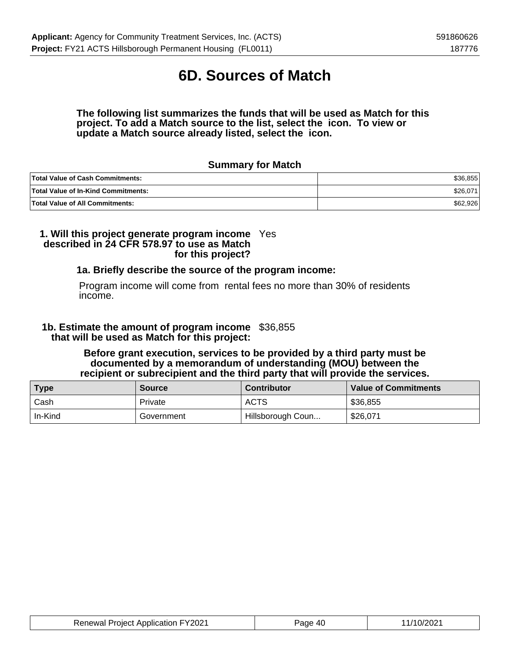## **6D. Sources of Match**

#### **The following list summarizes the funds that will be used as Match for this project. To add a Match source to the list, select the icon. To view or update a Match source already listed, select the icon.**

### **Summary for Match**

| <b>Total Value of Cash Commitments:</b>    | \$36.855 |
|--------------------------------------------|----------|
| <b>Total Value of In-Kind Commitments:</b> | \$26,071 |
| <b>Total Value of All Commitments:</b>     | \$62,926 |

#### **1. Will this project generate program income** Yes **described in 24 CFR 578.97 to use as Match for this project?**

### **1a. Briefly describe the source of the program income:**

Program income will come from rental fees no more than 30% of residents income.

#### **1b. Estimate the amount of program income** \$36,855  **that will be used as Match for this project:**

**Before grant execution, services to be provided by a third party must be documented by a memorandum of understanding (MOU) between the recipient or subrecipient and the third party that will provide the services.**

| <b>Type</b> | <b>Source</b> | <b>Contributor</b> | <b>Value of Commitments</b> |
|-------------|---------------|--------------------|-----------------------------|
| Cash        | Private       | <b>ACTS</b>        | \$36,855                    |
| In-Kind     | Government    | Hillsborough Coun  | \$26,071                    |

| <b>Renewal Project Application FY2021</b> | Page 40 | 11/10/2021 |
|-------------------------------------------|---------|------------|
|-------------------------------------------|---------|------------|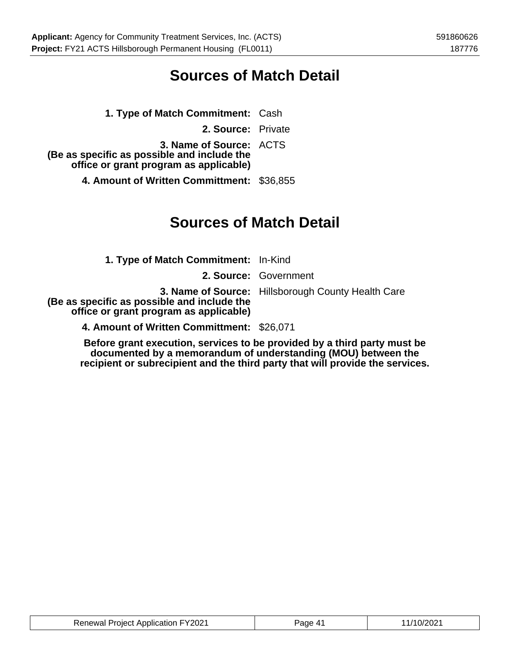## **Sources of Match Detail**

| 1. Type of Match Commitment: Cash                                                                                |  |
|------------------------------------------------------------------------------------------------------------------|--|
| 2. Source: Private                                                                                               |  |
| 3. Name of Source: ACTS<br>(Be as specific as possible and include the<br>office or grant program as applicable) |  |
| 4. Amount of Written Committment: \$36,855                                                                       |  |

## **Sources of Match Detail**

| 1. Type of Match Commitment: In-Kind                                                  |                                                    |
|---------------------------------------------------------------------------------------|----------------------------------------------------|
|                                                                                       | 2. Source: Government                              |
| (Be as specific as possible and include the<br>office or grant program as applicable) | 3. Name of Source: Hillsborough County Health Care |
| 4. Amount of Written Committment: \$26,071                                            |                                                    |

**Before grant execution, services to be provided by a third party must be documented by a memorandum of understanding (MOU) between the recipient or subrecipient and the third party that will provide the services.**

| <b>Renewal Project Application FY2021</b> | Page 41 | 11/10/2021 |
|-------------------------------------------|---------|------------|
|-------------------------------------------|---------|------------|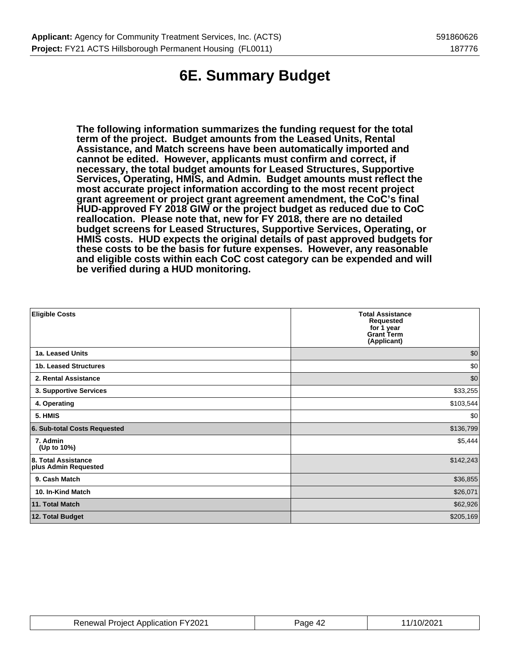## **6E. Summary Budget**

**The following information summarizes the funding request for the total term of the project. Budget amounts from the Leased Units, Rental Assistance, and Match screens have been automatically imported and cannot be edited. However, applicants must confirm and correct, if necessary, the total budget amounts for Leased Structures, Supportive Services, Operating, HMIS, and Admin. Budget amounts must reflect the most accurate project information according to the most recent project grant agreement or project grant agreement amendment, the CoC's final HUD-approved FY 2018 GIW or the project budget as reduced due to CoC reallocation. Please note that, new for FY 2018, there are no detailed budget screens for Leased Structures, Supportive Services, Operating, or HMIS costs. HUD expects the original details of past approved budgets for these costs to be the basis for future expenses. However, any reasonable and eligible costs within each CoC cost category can be expended and will be verified during a HUD monitoring.**

| <b>Eligible Costs</b>                       | <b>Total Assistance</b><br>Requested<br>for 1 year<br><b>Grant Term</b><br>(Applicant) |
|---------------------------------------------|----------------------------------------------------------------------------------------|
| 1a. Leased Units                            | \$0                                                                                    |
| 1b. Leased Structures                       | \$0                                                                                    |
| 2. Rental Assistance                        | \$0                                                                                    |
| 3. Supportive Services                      | \$33,255                                                                               |
| 4. Operating                                | \$103,544                                                                              |
| 5. HMIS                                     | \$0                                                                                    |
| 6. Sub-total Costs Requested                | \$136,799                                                                              |
| 7. Admin<br>(Up to 10%)                     | \$5,444                                                                                |
| 8. Total Assistance<br>plus Admin Requested | \$142,243                                                                              |
| 9. Cash Match                               | \$36,855                                                                               |
| 10. In-Kind Match                           | \$26,071                                                                               |
| 11. Total Match                             | \$62,926                                                                               |
| 12. Total Budget                            | \$205,169                                                                              |

| <b>Renewal Project Application FY2021</b> | Page 42 | 11/10/2021 |
|-------------------------------------------|---------|------------|
|-------------------------------------------|---------|------------|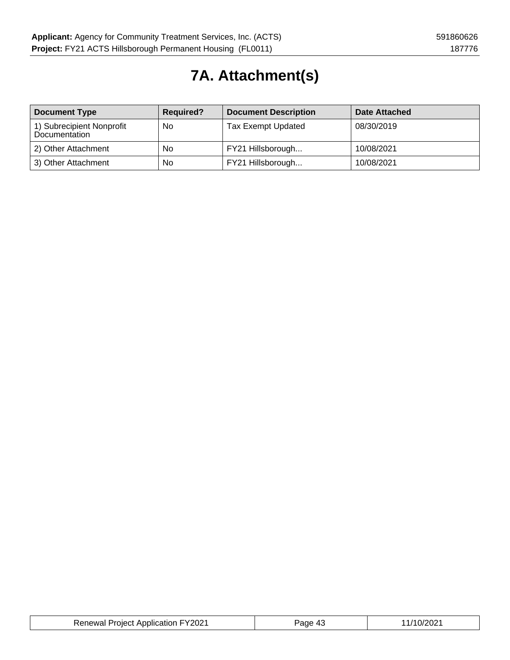# **7A. Attachment(s)**

| <b>Document Type</b>                       | <b>Required?</b> | <b>Document Description</b> | Date Attached |
|--------------------------------------------|------------------|-----------------------------|---------------|
| 1) Subrecipient Nonprofit<br>Documentation | <b>No</b>        | <b>Tax Exempt Updated</b>   | 08/30/2019    |
| 2) Other Attachment                        | No               | FY21 Hillsborough           | 10/08/2021    |
| 3) Other Attachment                        | No               | FY21 Hillsborough           | 10/08/2021    |

| <b>Renewal Project Application FY2021</b> | Page 43 | 11/10/2021 |
|-------------------------------------------|---------|------------|
|-------------------------------------------|---------|------------|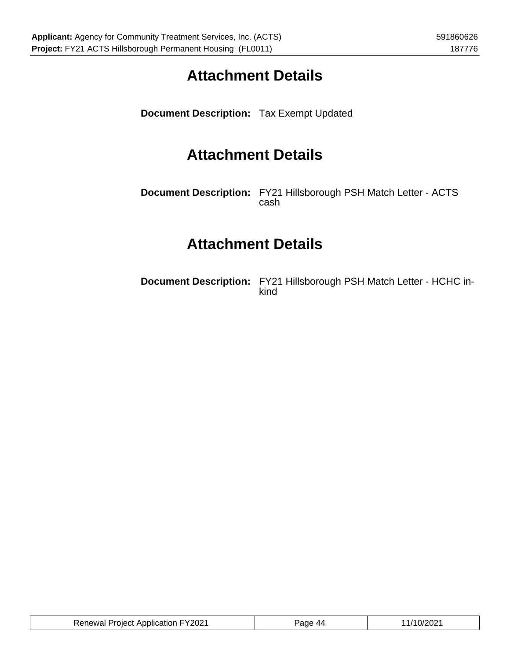## **Attachment Details**

**Document Description:** Tax Exempt Updated

## **Attachment Details**

**Document Description:** FY21 Hillsborough PSH Match Letter - ACTS cash

## **Attachment Details**

**Document Description:** FY21 Hillsborough PSH Match Letter - HCHC inkind

| <b>Renewal Project Application FY2021</b> | Page 44 | 11/10/2021 |
|-------------------------------------------|---------|------------|
|-------------------------------------------|---------|------------|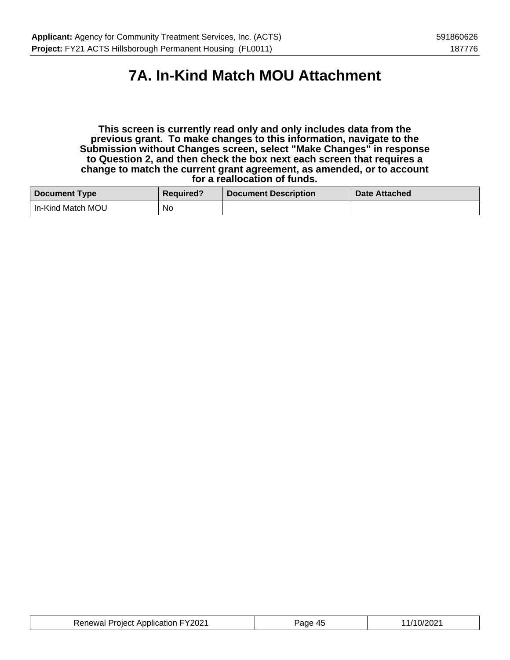## **7A. In-Kind Match MOU Attachment**

**This screen is currently read only and only includes data from the previous grant. To make changes to this information, navigate to the Submission without Changes screen, select "Make Changes" in response to Question 2, and then check the box next each screen that requires a change to match the current grant agreement, as amended, or to account for a reallocation of funds.**

| <b>Document Type</b> | <b>Required?</b> | <b>Document Description</b> | Date Attached |
|----------------------|------------------|-----------------------------|---------------|
| l In-Kind Match MOU  | No.              |                             |               |

| <b>Renewal Project Application FY2021</b> | Page 45 | 11/10/2021 |
|-------------------------------------------|---------|------------|
|-------------------------------------------|---------|------------|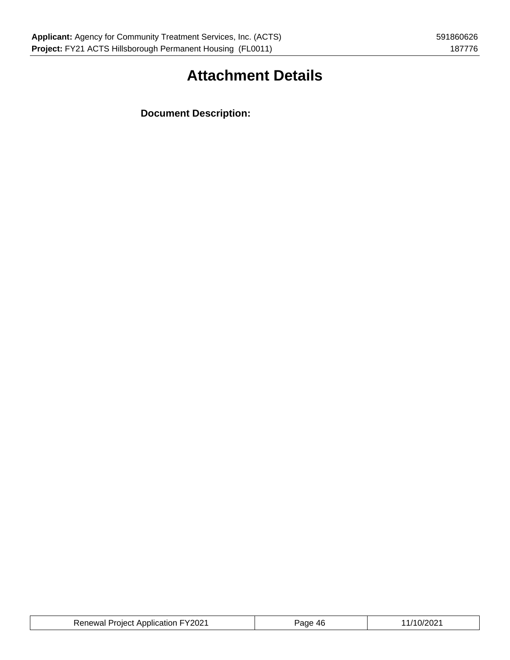## **Attachment Details**

**Document Description:**

| <b>Renewal Project Application FY2021</b> | Page 46 | 11/10/2021 |
|-------------------------------------------|---------|------------|
|-------------------------------------------|---------|------------|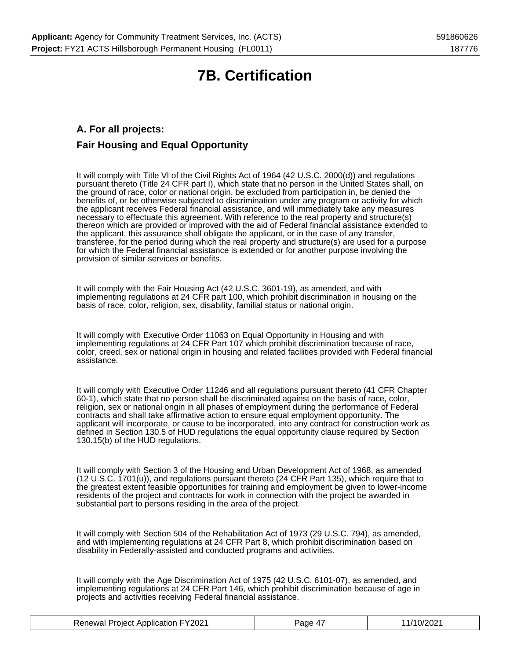## **7B. Certification**

## **A. For all projects: Fair Housing and Equal Opportunity**

It will comply with Title VI of the Civil Rights Act of 1964 (42 U.S.C. 2000(d)) and regulations pursuant thereto (Title 24 CFR part I), which state that no person in the United States shall, on the ground of race, color or national origin, be excluded from participation in, be denied the benefits of, or be otherwise subjected to discrimination under any program or activity for which the applicant receives Federal financial assistance, and will immediately take any measures necessary to effectuate this agreement. With reference to the real property and structure(s) thereon which are provided or improved with the aid of Federal financial assistance extended to the applicant, this assurance shall obligate the applicant, or in the case of any transfer, transferee, for the period during which the real property and structure(s) are used for a purpose for which the Federal financial assistance is extended or for another purpose involving the provision of similar services or benefits.

It will comply with the Fair Housing Act (42 U.S.C. 3601-19), as amended, and with implementing regulations at 24 CFR part 100, which prohibit discrimination in housing on the basis of race, color, religion, sex, disability, familial status or national origin.

It will comply with Executive Order 11063 on Equal Opportunity in Housing and with implementing regulations at 24 CFR Part 107 which prohibit discrimination because of race, color, creed, sex or national origin in housing and related facilities provided with Federal financial assistance.

It will comply with Executive Order 11246 and all regulations pursuant thereto (41 CFR Chapter 60-1), which state that no person shall be discriminated against on the basis of race, color, religion, sex or national origin in all phases of employment during the performance of Federal contracts and shall take affirmative action to ensure equal employment opportunity. The applicant will incorporate, or cause to be incorporated, into any contract for construction work as defined in Section 130.5 of HUD regulations the equal opportunity clause required by Section 130.15(b) of the HUD regulations.

It will comply with Section 3 of the Housing and Urban Development Act of 1968, as amended (12 U.S.C. 1701(u)), and regulations pursuant thereto (24 CFR Part 135), which require that to the greatest extent feasible opportunities for training and employment be given to lower-income residents of the project and contracts for work in connection with the project be awarded in substantial part to persons residing in the area of the project.

It will comply with Section 504 of the Rehabilitation Act of 1973 (29 U.S.C. 794), as amended, and with implementing regulations at 24 CFR Part 8, which prohibit discrimination based on disability in Federally-assisted and conducted programs and activities.

It will comply with the Age Discrimination Act of 1975 (42 U.S.C. 6101-07), as amended, and implementing regulations at 24 CFR Part 146, which prohibit discrimination because of age in projects and activities receiving Federal financial assistance.

| <b>Renewal Project Application FY2021</b> | Page 47 | 11/10/2021 |
|-------------------------------------------|---------|------------|
|-------------------------------------------|---------|------------|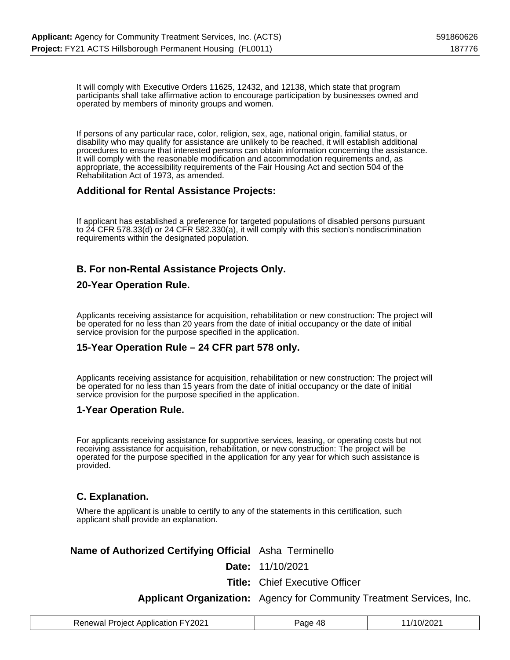It will comply with Executive Orders 11625, 12432, and 12138, which state that program participants shall take affirmative action to encourage participation by businesses owned and operated by members of minority groups and women.

If persons of any particular race, color, religion, sex, age, national origin, familial status, or disability who may qualify for assistance are unlikely to be reached, it will establish additional procedures to ensure that interested persons can obtain information concerning the assistance. It will comply with the reasonable modification and accommodation requirements and, as appropriate, the accessibility requirements of the Fair Housing Act and section 504 of the Rehabilitation Act of 1973, as amended.

### **Additional for Rental Assistance Projects:**

If applicant has established a preference for targeted populations of disabled persons pursuant to 24 CFR 578.33(d) or 24 CFR 582.330(a), it will comply with this section's nondiscrimination requirements within the designated population.

### **B. For non-Rental Assistance Projects Only.**

#### **20-Year Operation Rule.**

Applicants receiving assistance for acquisition, rehabilitation or new construction: The project will be operated for no less than 20 years from the date of initial occupancy or the date of initial service provision for the purpose specified in the application.

### **15-Year Operation Rule – 24 CFR part 578 only.**

Applicants receiving assistance for acquisition, rehabilitation or new construction: The project will be operated for no less than 15 years from the date of initial occupancy or the date of initial service provision for the purpose specified in the application.

#### **1-Year Operation Rule.**

For applicants receiving assistance for supportive services, leasing, or operating costs but not receiving assistance for acquisition, rehabilitation, or new construction: The project will be operated for the purpose specified in the application for any year for which such assistance is provided.

### **C. Explanation.**

Where the applicant is unable to certify to any of the statements in this certification, such applicant shall provide an explanation.

### **Name of Authorized Certifying Official** Asha Terminello

**Date:** 11/10/2021

**Title:** Chief Executive Officer

### **Applicant Organization:** Agency for Community Treatment Services, Inc.

| <b>Renewal Project Application FY2021</b> | Page 48 | 11/10/2021 |
|-------------------------------------------|---------|------------|
|-------------------------------------------|---------|------------|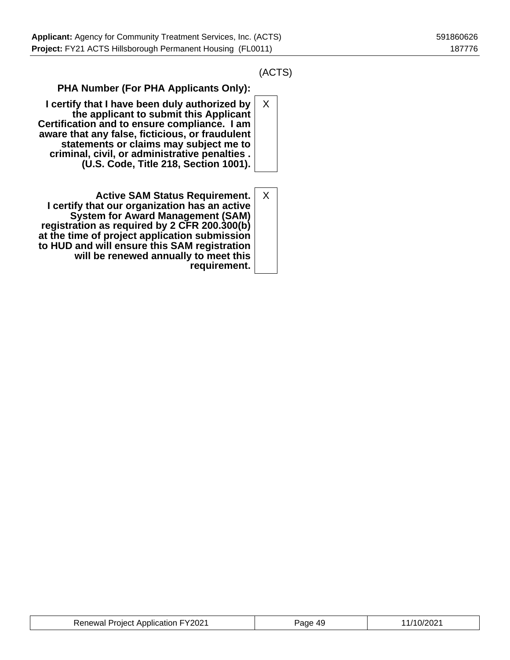(ACTS)

### **PHA Number (For PHA Applicants Only):**

- **I certify that I have been duly authorized by the applicant to submit this Applicant Certification and to ensure compliance. I am aware that any false, ficticious, or fraudulent statements or claims may subject me to criminal, civil, or administrative penalties . (U.S. Code, Title 218, Section 1001).** X
- **Active SAM Status Requirement. I certify that our organization has an active System for Award Management (SAM) registration as required by 2 CFR 200.300(b) at the time of project application submission to HUD and will ensure this SAM registration will be renewed annually to meet this requirement.** X

| <b>Renewal Project Application FY2021</b> | Page 49 | 11/10/2021 |
|-------------------------------------------|---------|------------|
|-------------------------------------------|---------|------------|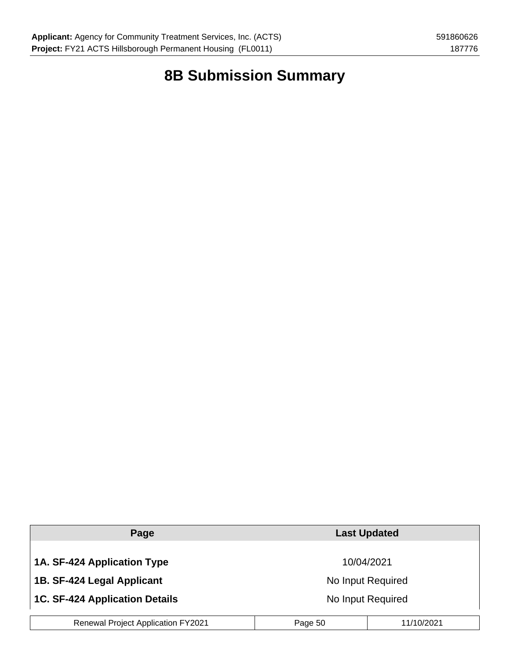# **8B Submission Summary**

| Page                                      | <b>Last Updated</b> |            |  |  |  |
|-------------------------------------------|---------------------|------------|--|--|--|
|                                           |                     |            |  |  |  |
| 1A. SF-424 Application Type               | 10/04/2021          |            |  |  |  |
| 1B. SF-424 Legal Applicant                | No Input Required   |            |  |  |  |
| 1C. SF-424 Application Details            | No Input Required   |            |  |  |  |
| <b>Renewal Project Application FY2021</b> | Page 50             | 11/10/2021 |  |  |  |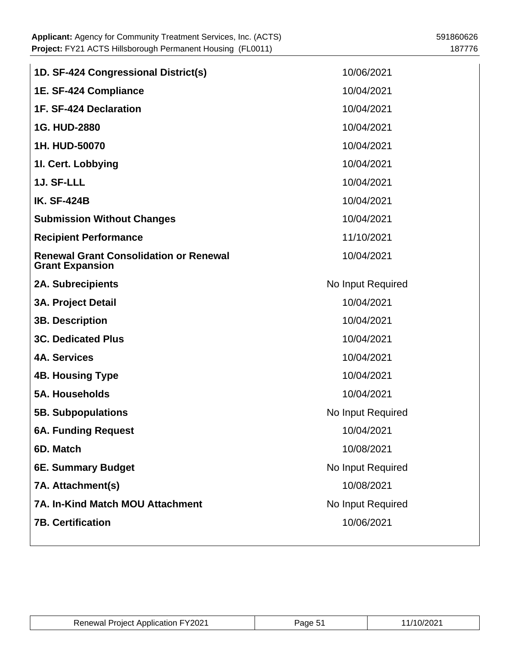| 1D. SF-424 Congressional District(s)                                    | 10/06/2021        |
|-------------------------------------------------------------------------|-------------------|
| 1E. SF-424 Compliance                                                   | 10/04/2021        |
| 1F. SF-424 Declaration                                                  | 10/04/2021        |
| 1G. HUD-2880                                                            | 10/04/2021        |
| 1H. HUD-50070                                                           | 10/04/2021        |
| 11. Cert. Lobbying                                                      | 10/04/2021        |
| 1J. SF-LLL                                                              | 10/04/2021        |
| <b>IK. SF-424B</b>                                                      | 10/04/2021        |
| <b>Submission Without Changes</b>                                       | 10/04/2021        |
| <b>Recipient Performance</b>                                            | 11/10/2021        |
| <b>Renewal Grant Consolidation or Renewal</b><br><b>Grant Expansion</b> | 10/04/2021        |
| <b>2A. Subrecipients</b>                                                | No Input Required |
| <b>3A. Project Detail</b>                                               | 10/04/2021        |
| <b>3B. Description</b>                                                  | 10/04/2021        |
| <b>3C. Dedicated Plus</b>                                               | 10/04/2021        |
| <b>4A. Services</b>                                                     | 10/04/2021        |
| <b>4B. Housing Type</b>                                                 | 10/04/2021        |
| <b>5A. Households</b>                                                   | 10/04/2021        |
| <b>5B. Subpopulations</b>                                               | No Input Required |
| <b>6A. Funding Request</b>                                              | 10/04/2021        |
| 6D. Match                                                               | 10/08/2021        |
| 6E. Summary Budget                                                      | No Input Required |
| 7A. Attachment(s)                                                       | 10/08/2021        |
| 7A. In-Kind Match MOU Attachment                                        | No Input Required |
| <b>7B. Certification</b>                                                | 10/06/2021        |

| <b>Renewal Project Application FY2021</b><br>Page 51 | 11/10/2021 |
|------------------------------------------------------|------------|
|------------------------------------------------------|------------|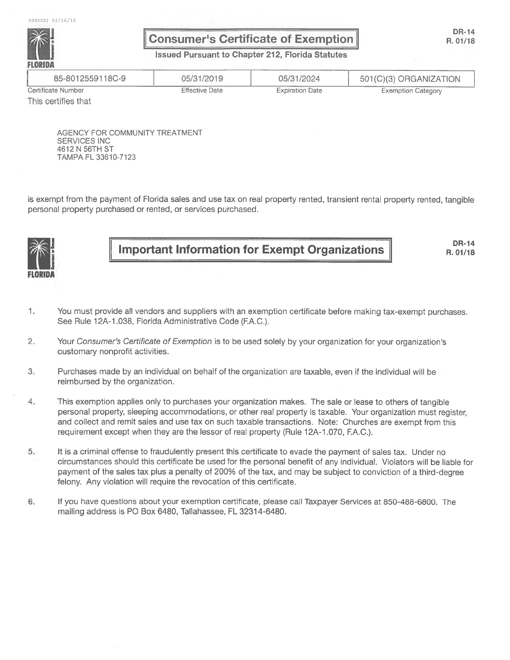0000022 03/16/19



## **Consumer's Certificate of Exemption**

 $DR-14$ R. 01/18

**Issued Pursuant to Chapter 212, Florida Statutes** 

| 85-8012559118C-9   | 05/31/2019            | 05/31/2024             | 501(C)(3) ORGANIZATION |
|--------------------|-----------------------|------------------------|------------------------|
| Certificate Number | <b>Effective Date</b> | <b>Expiration Date</b> | Exemption Category     |

This certifies that

AGENCY FOR COMMUNITY TREATMENT **SERVICES INC** 4612 N 56TH ST TAMPA FL 33610-7123

is exempt from the payment of Florida sales and use tax on real property rented, transient rental property rented, tangible personal property purchased or rented, or services purchased.



**Important Information for Exempt Organizations** 

**DR-14** R. 01/18

- $1.$ You must provide all vendors and suppliers with an exemption certificate before making tax-exempt purchases. See Rule 12A-1.038, Florida Administrative Code (F.A.C.).
- $2.$ Your Consumer's Certificate of Exemption is to be used solely by your organization for your organization's customary nonprofit activities.
- 3. Purchases made by an individual on behalf of the organization are taxable, even if the individual will be reimbursed by the organization.
- 4. This exemption applies only to purchases your organization makes. The sale or lease to others of tangible personal property, sleeping accommodations, or other real property is taxable. Your organization must register, and collect and remit sales and use tax on such taxable transactions. Note: Churches are exempt from this requirement except when they are the lessor of real property (Rule 12A-1.070, F.A.C.).
- 5. It is a criminal offense to fraudulently present this certificate to evade the payment of sales tax. Under no circumstances should this certificate be used for the personal benefit of any individual. Violators will be liable for payment of the sales tax plus a penalty of 200% of the tax, and may be subject to conviction of a third-degree felony. Any violation will require the revocation of this certificate.
- 6. If you have questions about your exemption certificate, please call Taxpayer Services at 850-488-6800. The mailing address is PO Box 6480, Tallahassee, FL 32314-6480.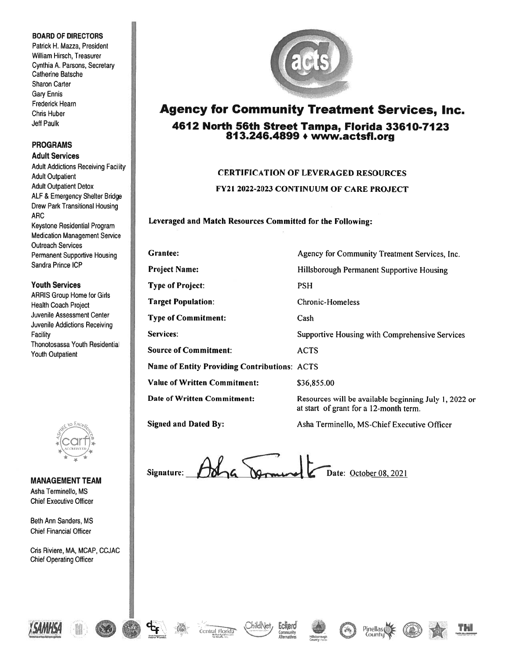#### **BOARD OF DIRECTORS**

Patrick H. Mazza, President William Hirsch, Treasurer Cynthia A. Parsons, Secretary Catherine Batsche **Sharon Carter Gary Ennis Frederick Hearn Chris Huber** Jeff Paulk

### **PROGRAMS**

**Adult Services Adult Addictions Receiving Facility Adult Outpatient Adult Outpatient Detox** ALF & Emergency Shelter Bridge **Drew Park Transitional Housing ARC** Keystone Residential Program **Medication Management Service Outreach Services Permanent Supportive Housing** Sandra Prince ICP

#### **Youth Services**

**ARRIS Group Home for Girls** Health Coach Project Juvenile Assessment Center Juvenile Addictions Receiving Facility Thonotosassa Youth Residential Youth Outpatient



**MANAGEMENT TEAM** Asha Terminello, MS **Chief Executive Officer** 

Beth Ann Sanders, MS **Chief Financial Officer** 

Cris Riviere, MA, MCAP, CCJAC **Chief Operating Officer** 



## **Agency for Community Treatment Services, Inc.** 4612 North 56th Street Tampa, Florida 33610-7123 813.246.4899 + www.actsfl.org

#### **CERTIFICATION OF LEVERAGED RESOURCES**

FY21 2022-2023 CONTINUUM OF CARE PROJECT

Leveraged and Match Resources Committed for the Following:

| <b>Grantee:</b>                                     | Agency for Community Treatment Services, Inc.                                                   |  |  |
|-----------------------------------------------------|-------------------------------------------------------------------------------------------------|--|--|
| <b>Project Name:</b>                                | Hillsborough Permanent Supportive Housing                                                       |  |  |
| <b>Type of Project:</b>                             | <b>PSH</b>                                                                                      |  |  |
| <b>Target Population:</b>                           | <b>Chronic-Homeless</b>                                                                         |  |  |
| <b>Type of Commitment:</b>                          | Cash                                                                                            |  |  |
| <b>Services:</b>                                    | Supportive Housing with Comprehensive Services                                                  |  |  |
| <b>Source of Commitment:</b>                        | <b>ACTS</b>                                                                                     |  |  |
| <b>Name of Entity Providing Contributions: ACTS</b> |                                                                                                 |  |  |
| <b>Value of Written Commitment:</b>                 | \$36,855.00                                                                                     |  |  |
| Date of Written Commitment:                         | Resources will be available beginning July 1, 2022 or<br>at start of grant for a 12-month term. |  |  |
| <b>Signed and Dated By:</b>                         | Asha Terminello, MS-Chief Executive Officer                                                     |  |  |

Asha Terminalt Date: October 08, 2021 Signature:











**Eckerd** 







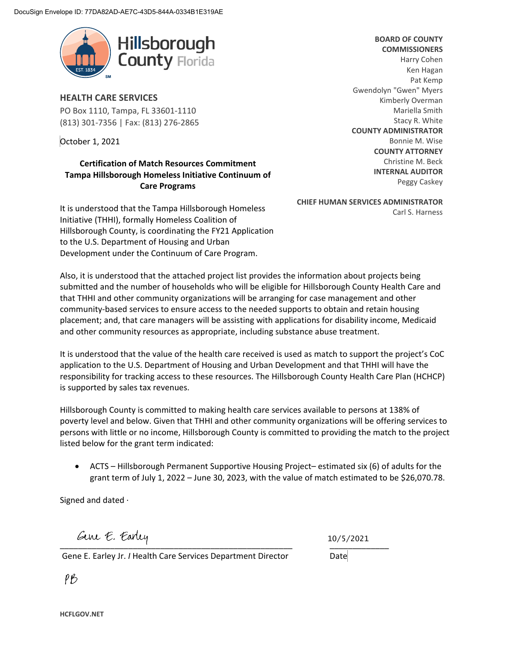

**HEALTH CARE SERVICES** PO Box 1110, Tampa, FL 33601‐1110 (813) 301‐7356 | Fax: (813) 276‐2865

October 1, 2021

### **Certification of Match Resources Commitment Tampa Hillsborough Homeless Initiative Continuum of Care Programs**

It is understood that the Tampa Hillsborough Homeless Initiative (THHI), formally Homeless Coalition of Hillsborough County, is coordinating the FY21 Application to the U.S. Department of Housing and Urban Development under the Continuum of Care Program.

 **COMMISSIONERS**  Harry Cohen Ken Hagan Pat Kemp Gwendolyn "Gwen" Myers Kimberly Overman Mariella Smith Stacy R. White **COUNTY ADMINISTRATOR**  Bonnie M. Wise **COUNTY ATTORNEY** Christine M. Beck **INTERNAL AUDITOR**  Peggy Caskey

**BOARD OF COUNTY** 

**CHIEF HUMAN SERVICES ADMINISTRATOR** Carl S. Harness

Also, it is understood that the attached project list provides the information about projects being submitted and the number of households who will be eligible for Hillsborough County Health Care and that THHI and other community organizations will be arranging for case management and other community-based services to ensure access to the needed supports to obtain and retain housing placement; and, that care managers will be assisting with applications for disability income, Medicaid and other community resources as appropriate, including substance abuse treatment.

It is understood that the value of the health care received is used as match to support the project's CoC application to the U.S. Department of Housing and Urban Development and that THHI will have the responsibility for tracking access to these resources. The Hillsborough County Health Care Plan (HCHCP) is supported by sales tax revenues.

Hillsborough County is committed to making health care services available to persons at 138% of poverty level and below. Given that THHI and other community organizations will be offering services to persons with little or no income, Hillsborough County is committed to providing the match to the project listed below for the grant term indicated:

 ACTS – Hillsborough Permanent Supportive Housing Project– estimated six (6) of adults for the grant term of July 1, 2022 – June 30, 2023, with the value of match estimated to be \$26,070.78.

Signed and dated ∙

\_\_\_\_\_\_\_\_\_\_\_\_\_\_\_\_\_\_\_\_\_\_\_\_\_\_\_\_\_\_\_\_\_\_\_\_\_\_\_\_\_\_\_\_\_\_\_\_\_\_\_ \_\_\_\_\_\_\_\_\_\_\_\_\_

10/5/2021

Gene E. Earley Jr. *I* Health Care Services Department Director **Date** 

 $\ell$ B